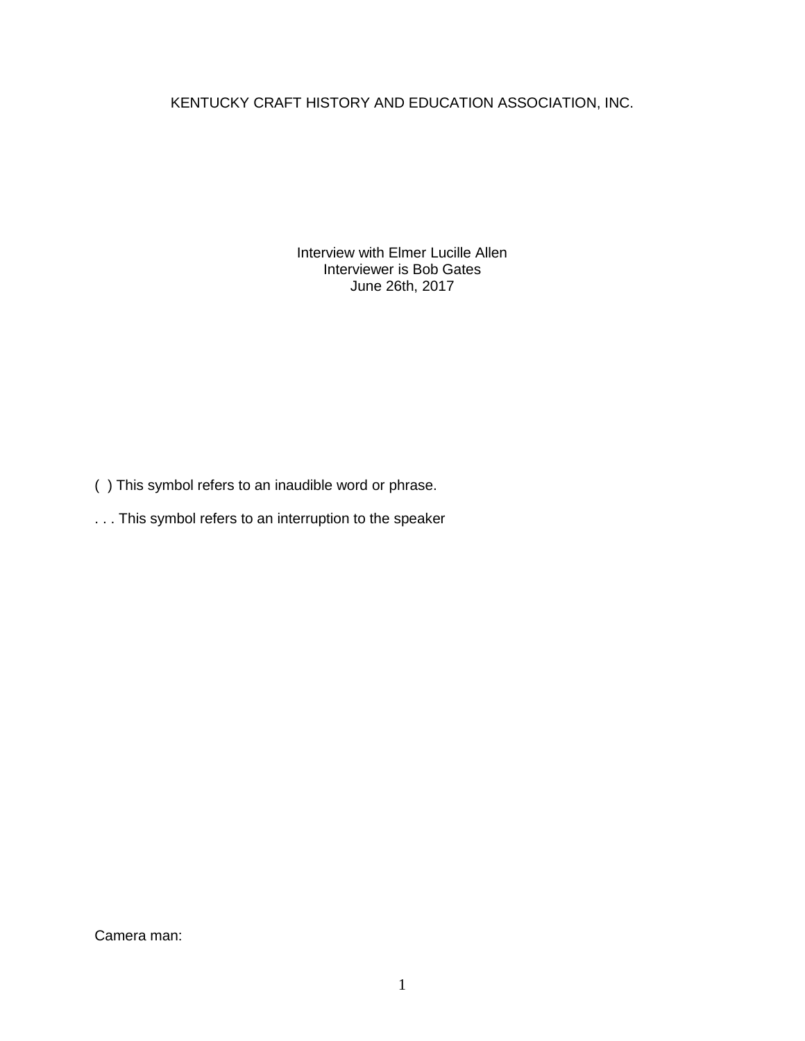KENTUCKY CRAFT HISTORY AND EDUCATION ASSOCIATION, INC.

Interview with Elmer Lucille Allen Interviewer is Bob Gates June 26th, 2017

( ) This symbol refers to an inaudible word or phrase.

. . . This symbol refers to an interruption to the speaker

Camera man: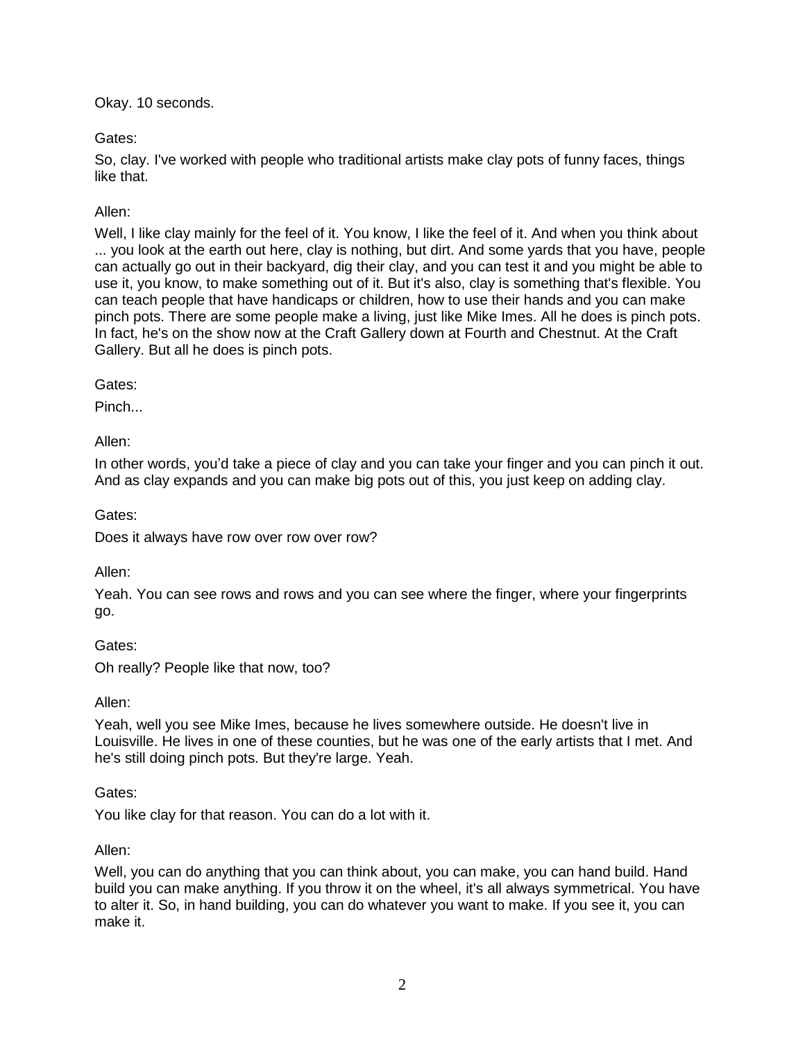Okay. 10 seconds.

# Gates:

So, clay. I've worked with people who traditional artists make clay pots of funny faces, things like that.

# Allen:

Well, I like clay mainly for the feel of it. You know, I like the feel of it. And when you think about ... you look at the earth out here, clay is nothing, but dirt. And some yards that you have, people can actually go out in their backyard, dig their clay, and you can test it and you might be able to use it, you know, to make something out of it. But it's also, clay is something that's flexible. You can teach people that have handicaps or children, how to use their hands and you can make pinch pots. There are some people make a living, just like Mike Imes. All he does is pinch pots. In fact, he's on the show now at the Craft Gallery down at Fourth and Chestnut. At the Craft Gallery. But all he does is pinch pots.

Gates:

Pinch...

Allen:

In other words, you'd take a piece of clay and you can take your finger and you can pinch it out. And as clay expands and you can make big pots out of this, you just keep on adding clay.

Gates:

Does it always have row over row over row?

Allen:

Yeah. You can see rows and rows and you can see where the finger, where your fingerprints go.

Gates:

Oh really? People like that now, too?

Allen:

Yeah, well you see Mike Imes, because he lives somewhere outside. He doesn't live in Louisville. He lives in one of these counties, but he was one of the early artists that I met. And he's still doing pinch pots. But they're large. Yeah.

# Gates:

You like clay for that reason. You can do a lot with it.

# Allen:

Well, you can do anything that you can think about, you can make, you can hand build. Hand build you can make anything. If you throw it on the wheel, it's all always symmetrical. You have to alter it. So, in hand building, you can do whatever you want to make. If you see it, you can make it.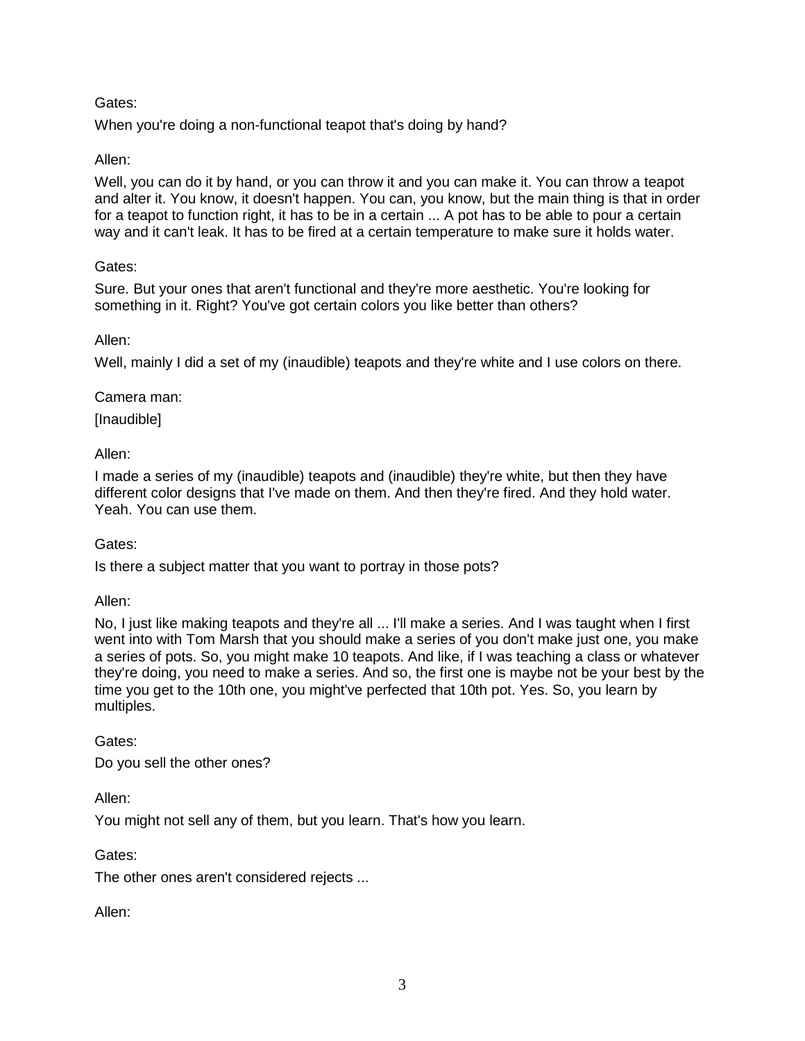# Gates:

When you're doing a non-functional teapot that's doing by hand?

# Allen:

Well, you can do it by hand, or you can throw it and you can make it. You can throw a teapot and alter it. You know, it doesn't happen. You can, you know, but the main thing is that in order for a teapot to function right, it has to be in a certain ... A pot has to be able to pour a certain way and it can't leak. It has to be fired at a certain temperature to make sure it holds water.

### Gates:

Sure. But your ones that aren't functional and they're more aesthetic. You're looking for something in it. Right? You've got certain colors you like better than others?

#### Allen:

Well, mainly I did a set of my (inaudible) teapots and they're white and I use colors on there.

#### Camera man:

[Inaudible]

### Allen:

I made a series of my (inaudible) teapots and (inaudible) they're white, but then they have different color designs that I've made on them. And then they're fired. And they hold water. Yeah. You can use them.

Gates:

Is there a subject matter that you want to portray in those pots?

Allen:

No, I just like making teapots and they're all ... I'll make a series. And I was taught when I first went into with Tom Marsh that you should make a series of you don't make just one, you make a series of pots. So, you might make 10 teapots. And like, if I was teaching a class or whatever they're doing, you need to make a series. And so, the first one is maybe not be your best by the time you get to the 10th one, you might've perfected that 10th pot. Yes. So, you learn by multiples.

Gates:

Do you sell the other ones?

Allen:

You might not sell any of them, but you learn. That's how you learn.

Gates:

The other ones aren't considered rejects ...

Allen: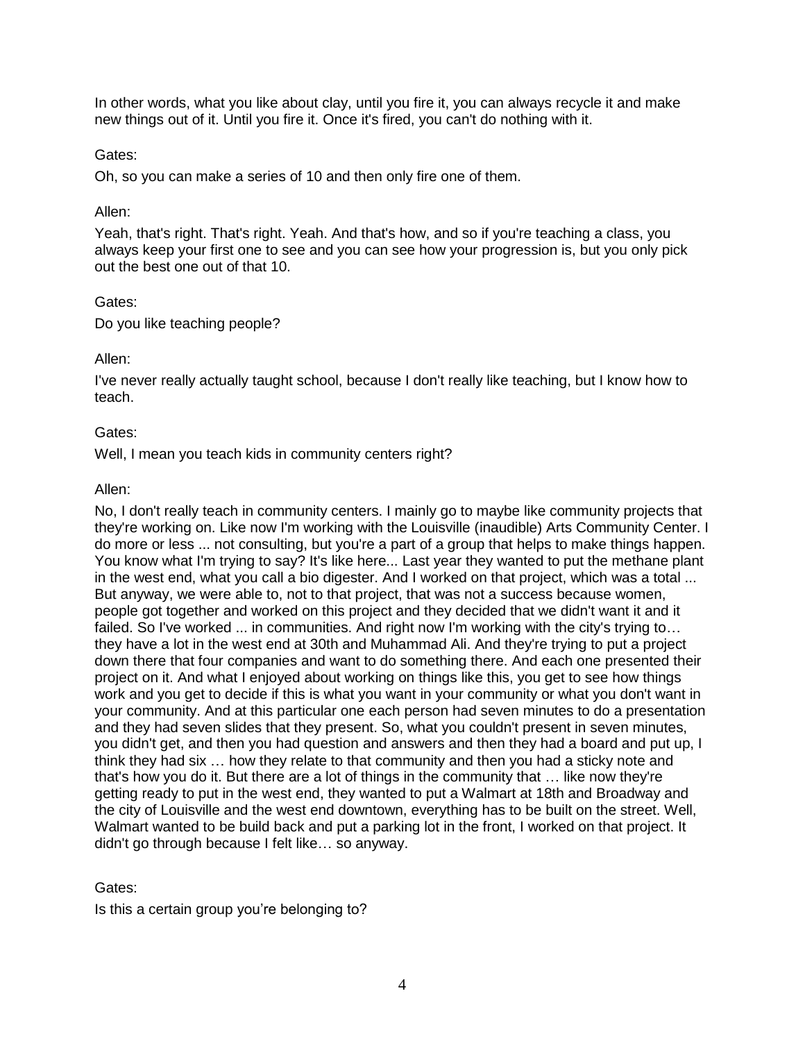In other words, what you like about clay, until you fire it, you can always recycle it and make new things out of it. Until you fire it. Once it's fired, you can't do nothing with it.

#### Gates:

Oh, so you can make a series of 10 and then only fire one of them.

#### Allen:

Yeah, that's right. That's right. Yeah. And that's how, and so if you're teaching a class, you always keep your first one to see and you can see how your progression is, but you only pick out the best one out of that 10.

#### Gates:

Do you like teaching people?

#### Allen:

I've never really actually taught school, because I don't really like teaching, but I know how to teach.

#### Gates:

Well, I mean you teach kids in community centers right?

#### Allen:

No, I don't really teach in community centers. I mainly go to maybe like community projects that they're working on. Like now I'm working with the Louisville (inaudible) Arts Community Center. I do more or less ... not consulting, but you're a part of a group that helps to make things happen. You know what I'm trying to say? It's like here... Last year they wanted to put the methane plant in the west end, what you call a bio digester. And I worked on that project, which was a total ... But anyway, we were able to, not to that project, that was not a success because women, people got together and worked on this project and they decided that we didn't want it and it failed. So I've worked ... in communities. And right now I'm working with the city's trying to... they have a lot in the west end at 30th and Muhammad Ali. And they're trying to put a project down there that four companies and want to do something there. And each one presented their project on it. And what I enjoyed about working on things like this, you get to see how things work and you get to decide if this is what you want in your community or what you don't want in your community. And at this particular one each person had seven minutes to do a presentation and they had seven slides that they present. So, what you couldn't present in seven minutes, you didn't get, and then you had question and answers and then they had a board and put up, I think they had six … how they relate to that community and then you had a sticky note and that's how you do it. But there are a lot of things in the community that … like now they're getting ready to put in the west end, they wanted to put a Walmart at 18th and Broadway and the city of Louisville and the west end downtown, everything has to be built on the street. Well, Walmart wanted to be build back and put a parking lot in the front, I worked on that project. It didn't go through because I felt like… so anyway.

### Gates:

Is this a certain group you're belonging to?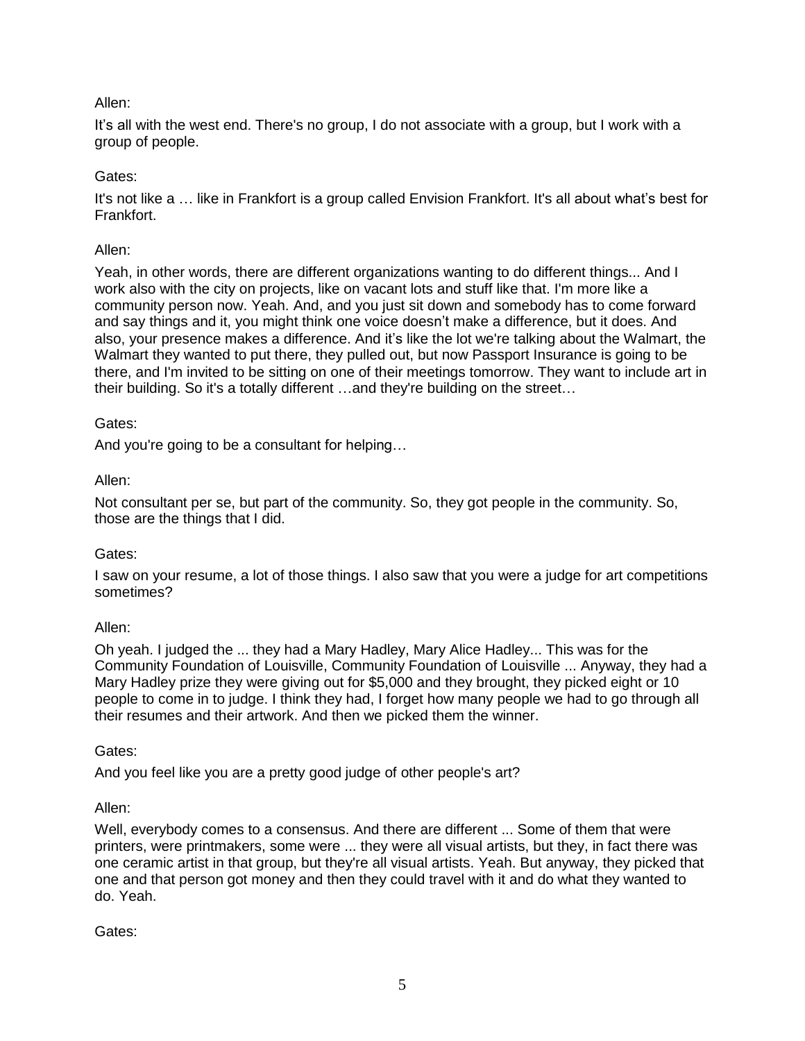It's all with the west end. There's no group, I do not associate with a group, but I work with a group of people.

### Gates:

It's not like a … like in Frankfort is a group called Envision Frankfort. It's all about what's best for Frankfort.

### Allen:

Yeah, in other words, there are different organizations wanting to do different things... And I work also with the city on projects, like on vacant lots and stuff like that. I'm more like a community person now. Yeah. And, and you just sit down and somebody has to come forward and say things and it, you might think one voice doesn't make a difference, but it does. And also, your presence makes a difference. And it's like the lot we're talking about the Walmart, the Walmart they wanted to put there, they pulled out, but now Passport Insurance is going to be there, and I'm invited to be sitting on one of their meetings tomorrow. They want to include art in their building. So it's a totally different …and they're building on the street…

### Gates:

And you're going to be a consultant for helping…

#### Allen:

Not consultant per se, but part of the community. So, they got people in the community. So, those are the things that I did.

### Gates:

I saw on your resume, a lot of those things. I also saw that you were a judge for art competitions sometimes?

#### Allen:

Oh yeah. I judged the ... they had a Mary Hadley, Mary Alice Hadley... This was for the Community Foundation of Louisville, Community Foundation of Louisville ... Anyway, they had a Mary Hadley prize they were giving out for \$5,000 and they brought, they picked eight or 10 people to come in to judge. I think they had, I forget how many people we had to go through all their resumes and their artwork. And then we picked them the winner.

### Gates:

And you feel like you are a pretty good judge of other people's art?

### Allen:

Well, everybody comes to a consensus. And there are different ... Some of them that were printers, were printmakers, some were ... they were all visual artists, but they, in fact there was one ceramic artist in that group, but they're all visual artists. Yeah. But anyway, they picked that one and that person got money and then they could travel with it and do what they wanted to do. Yeah.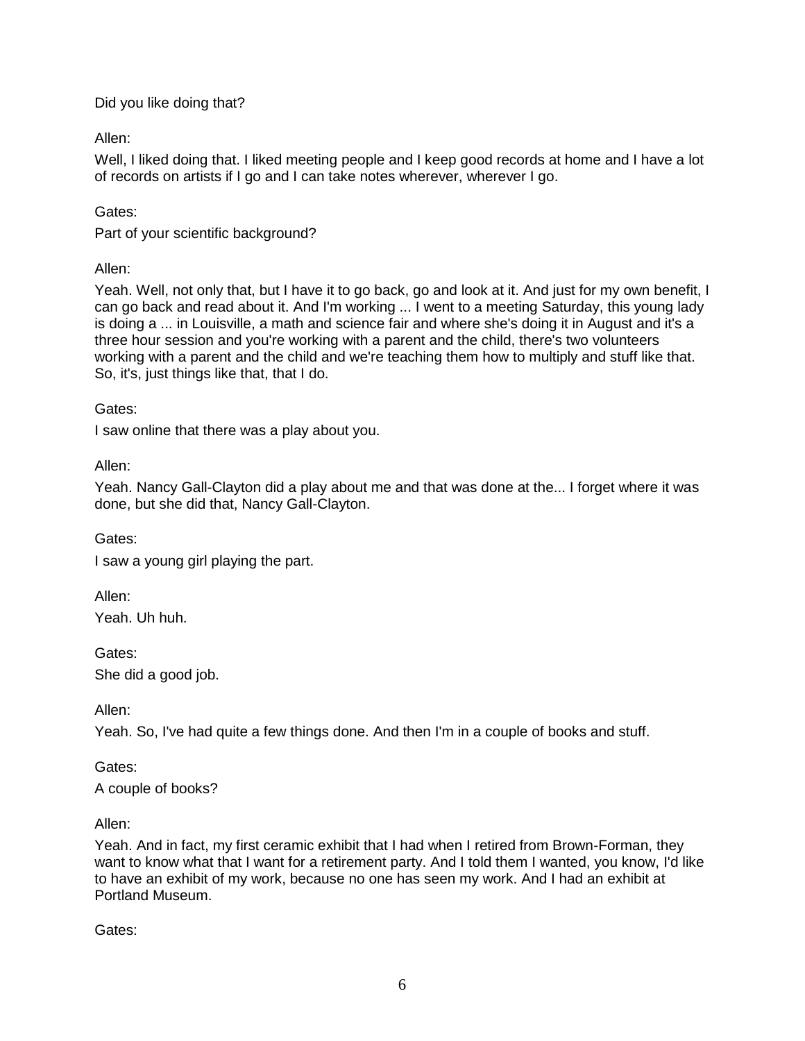Did you like doing that?

Allen:

Well, I liked doing that. I liked meeting people and I keep good records at home and I have a lot of records on artists if I go and I can take notes wherever, wherever I go.

# Gates:

Part of your scientific background?

Allen:

Yeah. Well, not only that, but I have it to go back, go and look at it. And just for my own benefit, I can go back and read about it. And I'm working ... I went to a meeting Saturday, this young lady is doing a ... in Louisville, a math and science fair and where she's doing it in August and it's a three hour session and you're working with a parent and the child, there's two volunteers working with a parent and the child and we're teaching them how to multiply and stuff like that. So, it's, just things like that, that I do.

Gates:

I saw online that there was a play about you.

Allen:

Yeah. Nancy Gall-Clayton did a play about me and that was done at the... I forget where it was done, but she did that, Nancy Gall-Clayton.

Gates:

I saw a young girl playing the part.

Allen:

Yeah. Uh huh.

Gates:

She did a good job.

Allen:

Yeah. So, I've had quite a few things done. And then I'm in a couple of books and stuff.

Gates:

A couple of books?

Allen:

Yeah. And in fact, my first ceramic exhibit that I had when I retired from Brown-Forman, they want to know what that I want for a retirement party. And I told them I wanted, you know, I'd like to have an exhibit of my work, because no one has seen my work. And I had an exhibit at Portland Museum.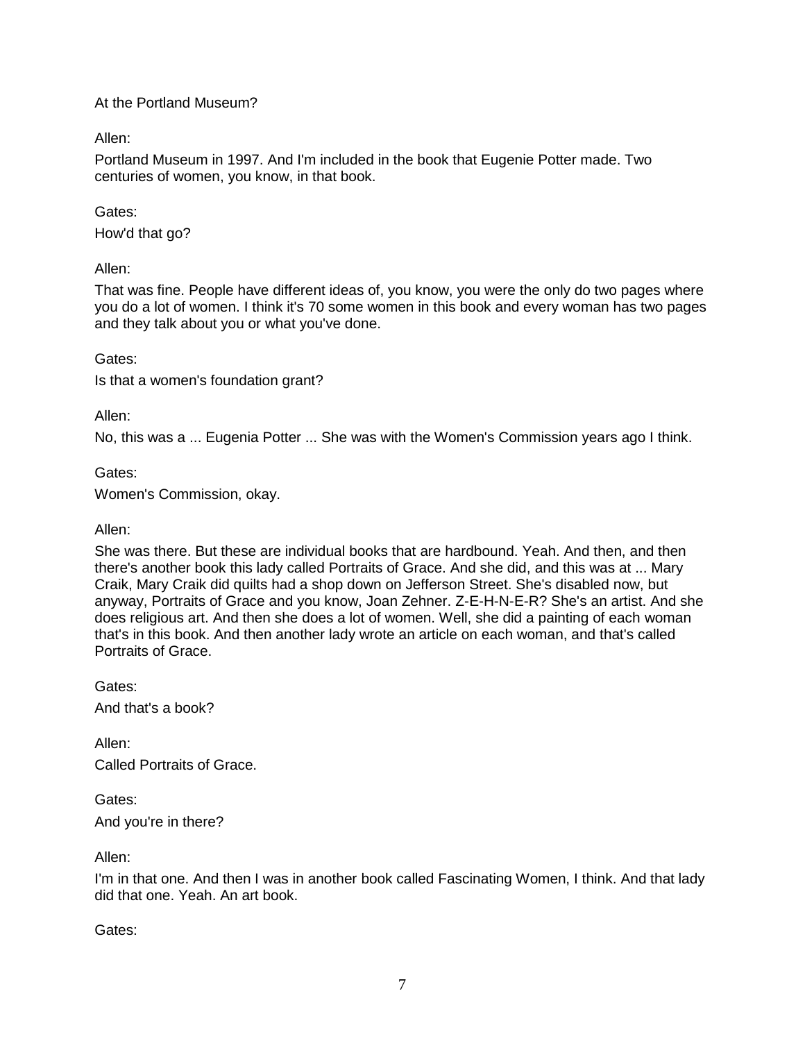### At the Portland Museum?

Allen:

Portland Museum in 1997. And I'm included in the book that Eugenie Potter made. Two centuries of women, you know, in that book.

### Gates:

How'd that go?

Allen:

That was fine. People have different ideas of, you know, you were the only do two pages where you do a lot of women. I think it's 70 some women in this book and every woman has two pages and they talk about you or what you've done.

Gates:

Is that a women's foundation grant?

Allen:

No, this was a ... Eugenia Potter ... She was with the Women's Commission years ago I think.

Gates:

Women's Commission, okay.

#### Allen:

She was there. But these are individual books that are hardbound. Yeah. And then, and then there's another book this lady called Portraits of Grace. And she did, and this was at ... Mary Craik, Mary Craik did quilts had a shop down on Jefferson Street. She's disabled now, but anyway, Portraits of Grace and you know, Joan Zehner. Z-E-H-N-E-R? She's an artist. And she does religious art. And then she does a lot of women. Well, she did a painting of each woman that's in this book. And then another lady wrote an article on each woman, and that's called Portraits of Grace.

Gates: And that's a book?

Allen: Called Portraits of Grace.

Gates:

And you're in there?

Allen:

I'm in that one. And then I was in another book called Fascinating Women, I think. And that lady did that one. Yeah. An art book.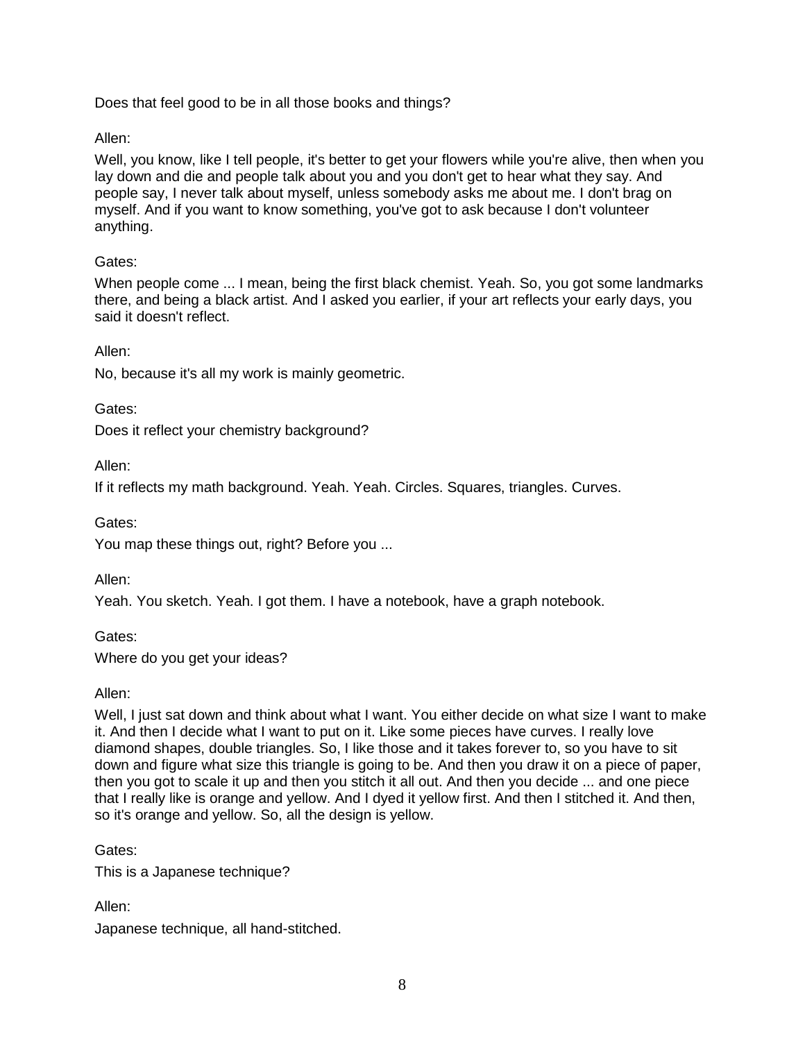Does that feel good to be in all those books and things?

Allen:

Well, you know, like I tell people, it's better to get your flowers while you're alive, then when you lay down and die and people talk about you and you don't get to hear what they say. And people say, I never talk about myself, unless somebody asks me about me. I don't brag on myself. And if you want to know something, you've got to ask because I don't volunteer anything.

# Gates:

When people come ... I mean, being the first black chemist. Yeah. So, you got some landmarks there, and being a black artist. And I asked you earlier, if your art reflects your early days, you said it doesn't reflect.

Allen:

No, because it's all my work is mainly geometric.

Gates:

Does it reflect your chemistry background?

Allen:

If it reflects my math background. Yeah. Yeah. Circles. Squares, triangles. Curves.

Gates:

You map these things out, right? Before you ...

Allen:

Yeah. You sketch. Yeah. I got them. I have a notebook, have a graph notebook.

Gates: Where do you get your ideas?

Allen:

Well, I just sat down and think about what I want. You either decide on what size I want to make it. And then I decide what I want to put on it. Like some pieces have curves. I really love diamond shapes, double triangles. So, I like those and it takes forever to, so you have to sit down and figure what size this triangle is going to be. And then you draw it on a piece of paper, then you got to scale it up and then you stitch it all out. And then you decide ... and one piece that I really like is orange and yellow. And I dyed it yellow first. And then I stitched it. And then, so it's orange and yellow. So, all the design is yellow.

Gates:

This is a Japanese technique?

Allen:

Japanese technique, all hand-stitched.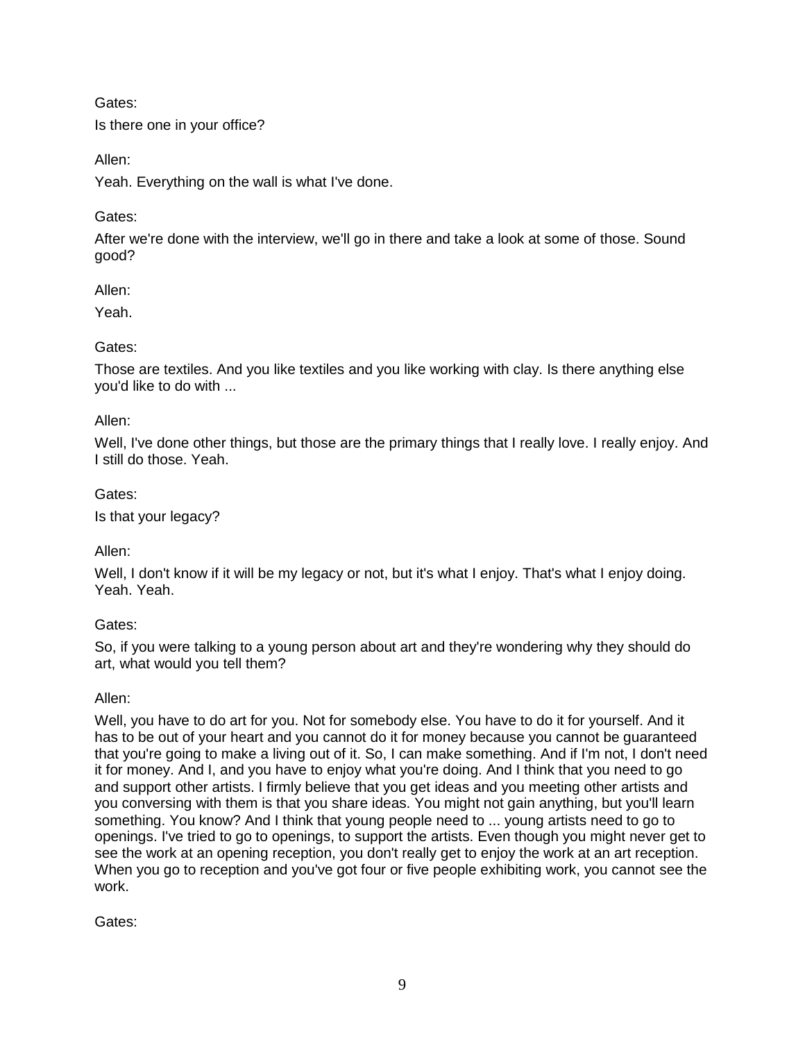Gates:

Is there one in your office?

Allen:

Yeah. Everything on the wall is what I've done.

# Gates:

After we're done with the interview, we'll go in there and take a look at some of those. Sound good?

# Allen:

Yeah.

# Gates:

Those are textiles. And you like textiles and you like working with clay. Is there anything else you'd like to do with ...

# Allen:

Well, I've done other things, but those are the primary things that I really love. I really enjoy. And I still do those. Yeah.

# Gates:

Is that your legacy?

# Allen:

Well, I don't know if it will be my legacy or not, but it's what I enjoy. That's what I enjoy doing. Yeah. Yeah.

# Gates:

So, if you were talking to a young person about art and they're wondering why they should do art, what would you tell them?

# Allen:

Well, you have to do art for you. Not for somebody else. You have to do it for yourself. And it has to be out of your heart and you cannot do it for money because you cannot be guaranteed that you're going to make a living out of it. So, I can make something. And if I'm not, I don't need it for money. And I, and you have to enjoy what you're doing. And I think that you need to go and support other artists. I firmly believe that you get ideas and you meeting other artists and you conversing with them is that you share ideas. You might not gain anything, but you'll learn something. You know? And I think that young people need to ... young artists need to go to openings. I've tried to go to openings, to support the artists. Even though you might never get to see the work at an opening reception, you don't really get to enjoy the work at an art reception. When you go to reception and you've got four or five people exhibiting work, you cannot see the work.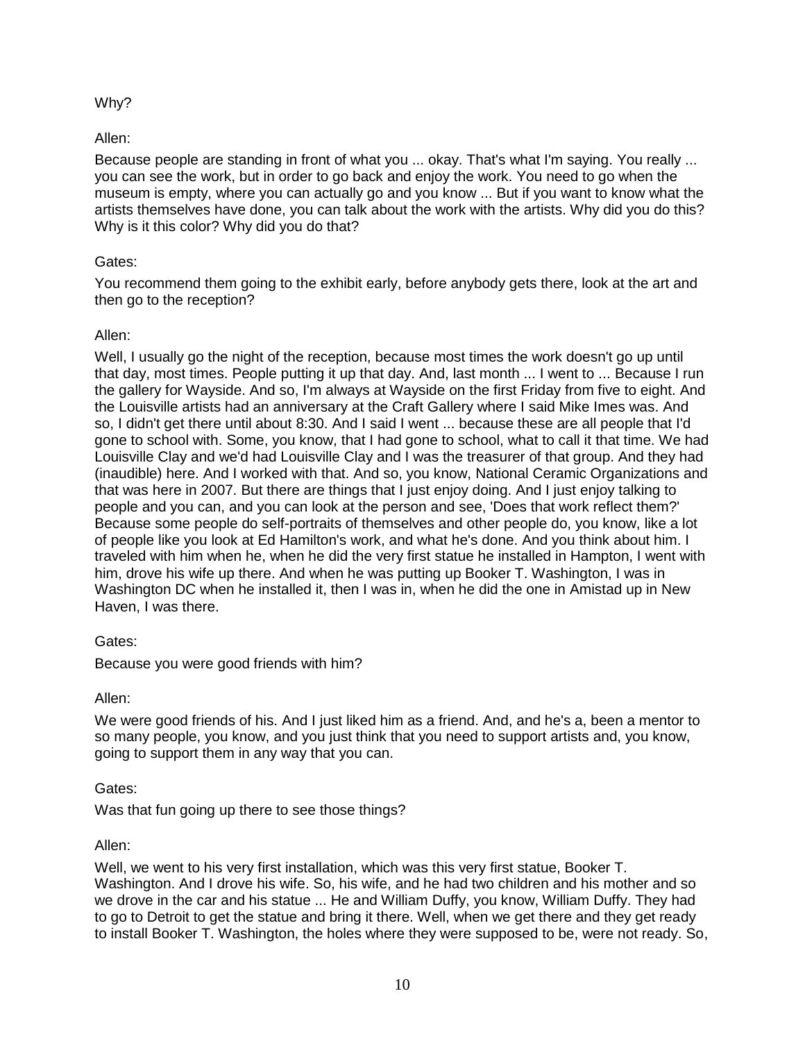# Why?

# Allen:

Because people are standing in front of what you ... okay. That's what I'm saying. You really ... you can see the work, but in order to go back and enjoy the work. You need to go when the museum is empty, where you can actually go and you know ... But if you want to know what the artists themselves have done, you can talk about the work with the artists. Why did you do this? Why is it this color? Why did you do that?

### Gates:

You recommend them going to the exhibit early, before anybody gets there, look at the art and then go to the reception?

# Allen:

Well, I usually go the night of the reception, because most times the work doesn't go up until that day, most times. People putting it up that day. And, last month ... I went to ... Because I run the gallery for Wayside. And so, I'm always at Wayside on the first Friday from five to eight. And the Louisville artists had an anniversary at the Craft Gallery where I said Mike Imes was. And so, I didn't get there until about 8:30. And I said I went ... because these are all people that I'd gone to school with. Some, you know, that I had gone to school, what to call it that time. We had Louisville Clay and we'd had Louisville Clay and I was the treasurer of that group. And they had (inaudible) here. And I worked with that. And so, you know, National Ceramic Organizations and that was here in 2007. But there are things that I just enjoy doing. And I just enjoy talking to people and you can, and you can look at the person and see, 'Does that work reflect them?' Because some people do self-portraits of themselves and other people do, you know, like a lot of people like you look at Ed Hamilton's work, and what he's done. And you think about him. I traveled with him when he, when he did the very first statue he installed in Hampton, I went with him, drove his wife up there. And when he was putting up Booker T. Washington, I was in Washington DC when he installed it, then I was in, when he did the one in Amistad up in New Haven, I was there.

### Gates:

Because you were good friends with him?

Allen:

We were good friends of his. And I just liked him as a friend. And, and he's a, been a mentor to so many people, you know, and you just think that you need to support artists and, you know, going to support them in any way that you can.

### Gates:

Was that fun going up there to see those things?

### Allen:

Well, we went to his very first installation, which was this very first statue, Booker T. Washington. And I drove his wife. So, his wife, and he had two children and his mother and so we drove in the car and his statue ... He and William Duffy, you know, William Duffy. They had to go to Detroit to get the statue and bring it there. Well, when we get there and they get ready to install Booker T. Washington, the holes where they were supposed to be, were not ready. So,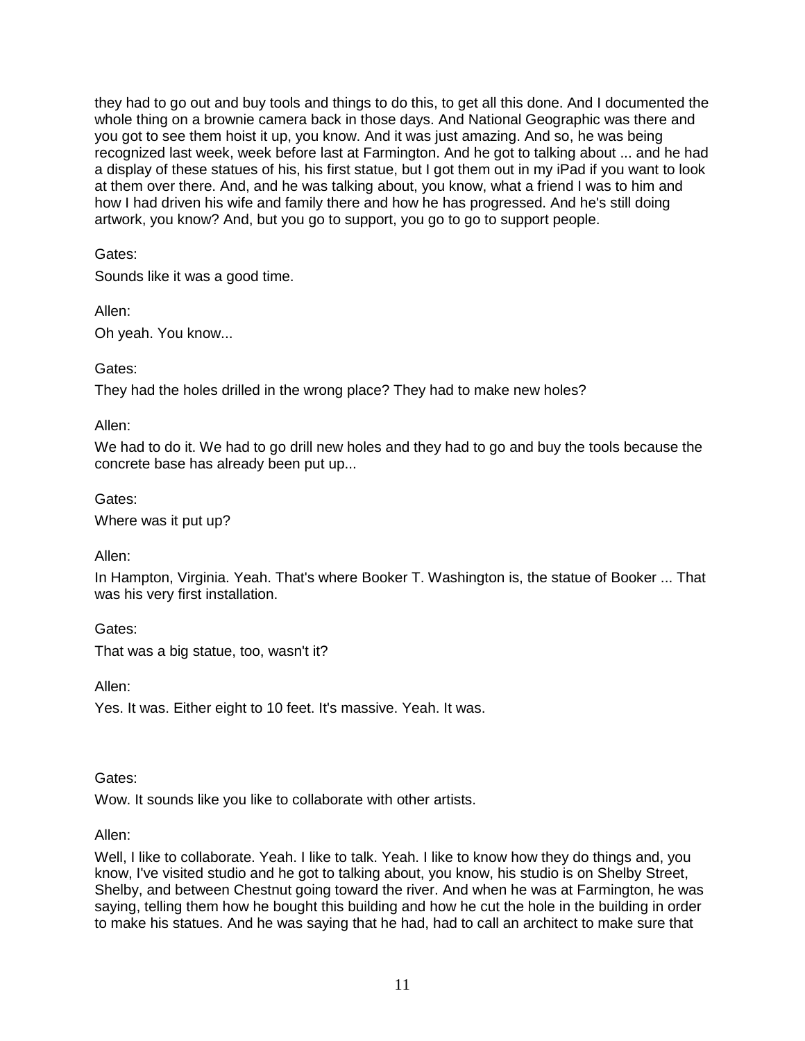they had to go out and buy tools and things to do this, to get all this done. And I documented the whole thing on a brownie camera back in those days. And National Geographic was there and you got to see them hoist it up, you know. And it was just amazing. And so, he was being recognized last week, week before last at Farmington. And he got to talking about ... and he had a display of these statues of his, his first statue, but I got them out in my iPad if you want to look at them over there. And, and he was talking about, you know, what a friend I was to him and how I had driven his wife and family there and how he has progressed. And he's still doing artwork, you know? And, but you go to support, you go to go to support people.

# Gates:

Sounds like it was a good time.

Allen:

Oh yeah. You know...

Gates:

They had the holes drilled in the wrong place? They had to make new holes?

Allen:

We had to do it. We had to go drill new holes and they had to go and buy the tools because the concrete base has already been put up...

Gates:

Where was it put up?

Allen:

In Hampton, Virginia. Yeah. That's where Booker T. Washington is, the statue of Booker ... That was his very first installation.

Gates: That was a big statue, too, wasn't it?

Allen:

Yes. It was. Either eight to 10 feet. It's massive. Yeah. It was.

Gates:

Wow. It sounds like you like to collaborate with other artists.

Allen:

Well, I like to collaborate. Yeah. I like to talk. Yeah. I like to know how they do things and, you know, I've visited studio and he got to talking about, you know, his studio is on Shelby Street, Shelby, and between Chestnut going toward the river. And when he was at Farmington, he was saying, telling them how he bought this building and how he cut the hole in the building in order to make his statues. And he was saying that he had, had to call an architect to make sure that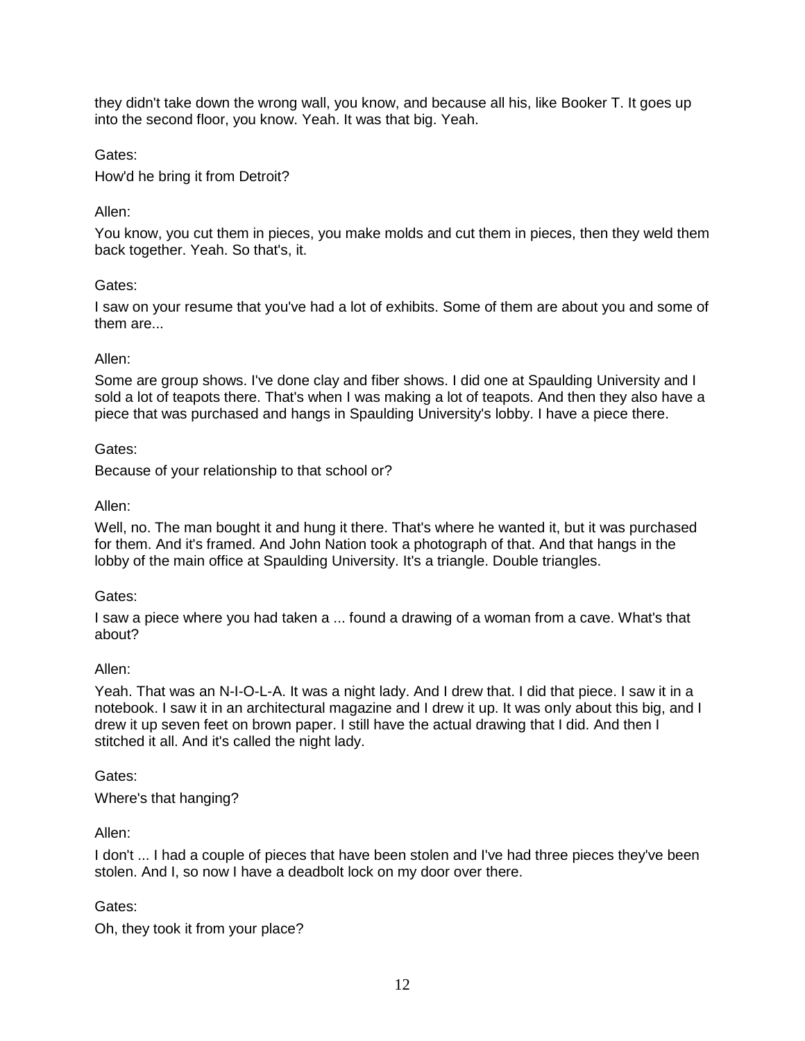they didn't take down the wrong wall, you know, and because all his, like Booker T. It goes up into the second floor, you know. Yeah. It was that big. Yeah.

Gates:

How'd he bring it from Detroit?

# Allen:

You know, you cut them in pieces, you make molds and cut them in pieces, then they weld them back together. Yeah. So that's, it.

# Gates:

I saw on your resume that you've had a lot of exhibits. Some of them are about you and some of them are...

### Allen:

Some are group shows. I've done clay and fiber shows. I did one at Spaulding University and I sold a lot of teapots there. That's when I was making a lot of teapots. And then they also have a piece that was purchased and hangs in Spaulding University's lobby. I have a piece there.

### Gates:

Because of your relationship to that school or?

# Allen:

Well, no. The man bought it and hung it there. That's where he wanted it, but it was purchased for them. And it's framed. And John Nation took a photograph of that. And that hangs in the lobby of the main office at Spaulding University. It's a triangle. Double triangles.

### Gates:

I saw a piece where you had taken a ... found a drawing of a woman from a cave. What's that about?

### Allen:

Yeah. That was an N-I-O-L-A. It was a night lady. And I drew that. I did that piece. I saw it in a notebook. I saw it in an architectural magazine and I drew it up. It was only about this big, and I drew it up seven feet on brown paper. I still have the actual drawing that I did. And then I stitched it all. And it's called the night lady.

### Gates:

Where's that hanging?

Allen:

I don't ... I had a couple of pieces that have been stolen and I've had three pieces they've been stolen. And I, so now I have a deadbolt lock on my door over there.

# Gates:

Oh, they took it from your place?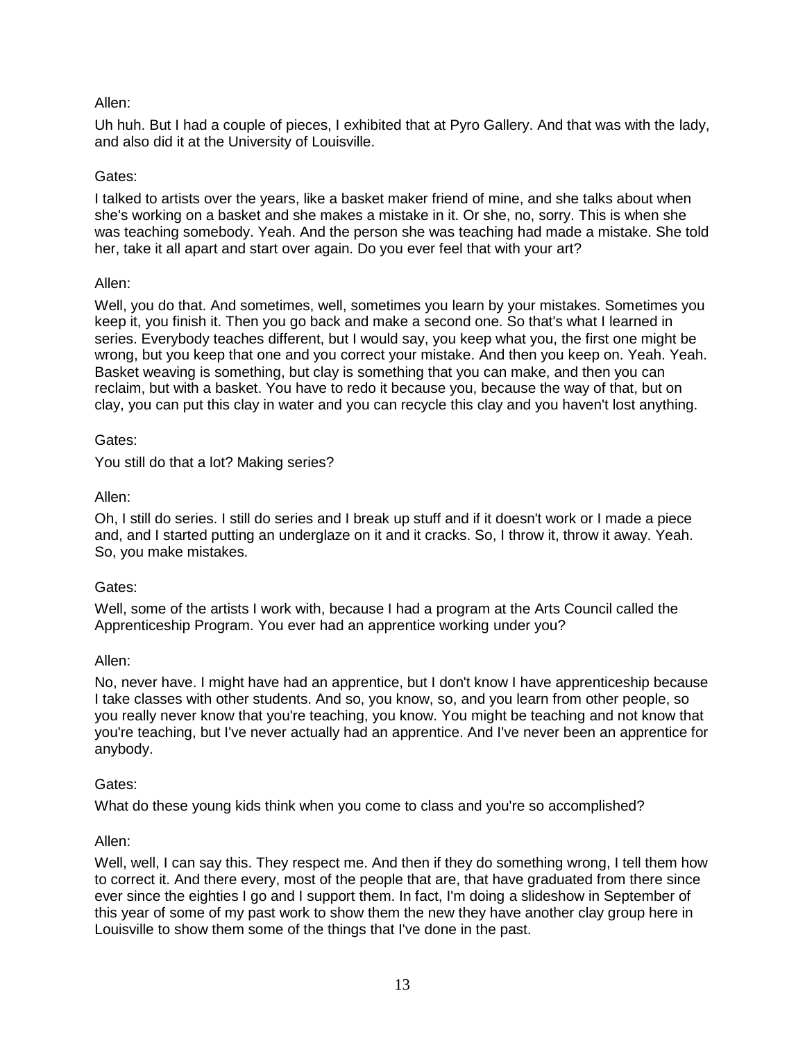Uh huh. But I had a couple of pieces, I exhibited that at Pyro Gallery. And that was with the lady, and also did it at the University of Louisville.

### Gates:

I talked to artists over the years, like a basket maker friend of mine, and she talks about when she's working on a basket and she makes a mistake in it. Or she, no, sorry. This is when she was teaching somebody. Yeah. And the person she was teaching had made a mistake. She told her, take it all apart and start over again. Do you ever feel that with your art?

### Allen:

Well, you do that. And sometimes, well, sometimes you learn by your mistakes. Sometimes you keep it, you finish it. Then you go back and make a second one. So that's what I learned in series. Everybody teaches different, but I would say, you keep what you, the first one might be wrong, but you keep that one and you correct your mistake. And then you keep on. Yeah. Yeah. Basket weaving is something, but clay is something that you can make, and then you can reclaim, but with a basket. You have to redo it because you, because the way of that, but on clay, you can put this clay in water and you can recycle this clay and you haven't lost anything.

#### Gates:

You still do that a lot? Making series?

#### Allen:

Oh, I still do series. I still do series and I break up stuff and if it doesn't work or I made a piece and, and I started putting an underglaze on it and it cracks. So, I throw it, throw it away. Yeah. So, you make mistakes.

#### Gates:

Well, some of the artists I work with, because I had a program at the Arts Council called the Apprenticeship Program. You ever had an apprentice working under you?

#### Allen:

No, never have. I might have had an apprentice, but I don't know I have apprenticeship because I take classes with other students. And so, you know, so, and you learn from other people, so you really never know that you're teaching, you know. You might be teaching and not know that you're teaching, but I've never actually had an apprentice. And I've never been an apprentice for anybody.

#### Gates:

What do these young kids think when you come to class and you're so accomplished?

#### Allen:

Well, well, I can say this. They respect me. And then if they do something wrong, I tell them how to correct it. And there every, most of the people that are, that have graduated from there since ever since the eighties I go and I support them. In fact, I'm doing a slideshow in September of this year of some of my past work to show them the new they have another clay group here in Louisville to show them some of the things that I've done in the past.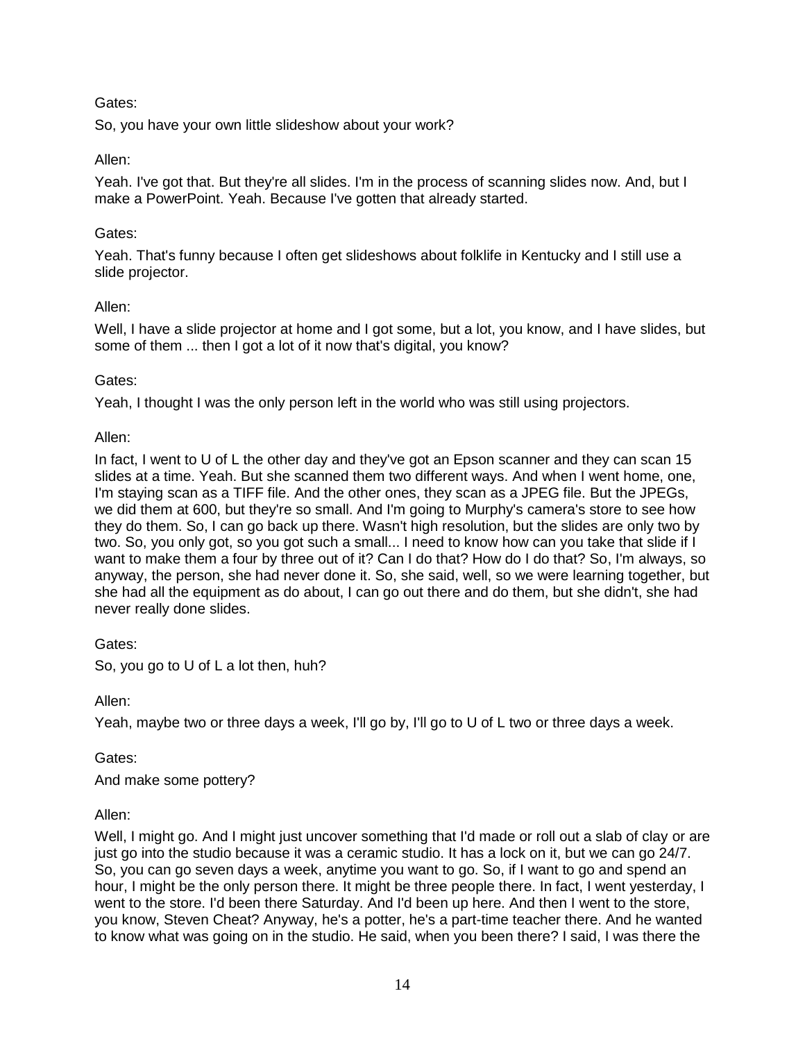# Gates:

So, you have your own little slideshow about your work?

# Allen:

Yeah. I've got that. But they're all slides. I'm in the process of scanning slides now. And, but I make a PowerPoint. Yeah. Because I've gotten that already started.

### Gates:

Yeah. That's funny because I often get slideshows about folklife in Kentucky and I still use a slide projector.

### Allen:

Well, I have a slide projector at home and I got some, but a lot, you know, and I have slides, but some of them ... then I got a lot of it now that's digital, you know?

### Gates:

Yeah, I thought I was the only person left in the world who was still using projectors.

# Allen:

In fact, I went to U of L the other day and they've got an Epson scanner and they can scan 15 slides at a time. Yeah. But she scanned them two different ways. And when I went home, one, I'm staying scan as a TIFF file. And the other ones, they scan as a JPEG file. But the JPEGs, we did them at 600, but they're so small. And I'm going to Murphy's camera's store to see how they do them. So, I can go back up there. Wasn't high resolution, but the slides are only two by two. So, you only got, so you got such a small... I need to know how can you take that slide if I want to make them a four by three out of it? Can I do that? How do I do that? So, I'm always, so anyway, the person, she had never done it. So, she said, well, so we were learning together, but she had all the equipment as do about, I can go out there and do them, but she didn't, she had never really done slides.

Gates:

So, you go to U of L a lot then, huh?

Allen:

Yeah, maybe two or three days a week, I'll go by, I'll go to U of L two or three days a week.

Gates:

And make some pottery?

### Allen:

Well, I might go. And I might just uncover something that I'd made or roll out a slab of clay or are just go into the studio because it was a ceramic studio. It has a lock on it, but we can go 24/7. So, you can go seven days a week, anytime you want to go. So, if I want to go and spend an hour, I might be the only person there. It might be three people there. In fact, I went yesterday, I went to the store. I'd been there Saturday. And I'd been up here. And then I went to the store, you know, Steven Cheat? Anyway, he's a potter, he's a part-time teacher there. And he wanted to know what was going on in the studio. He said, when you been there? I said, I was there the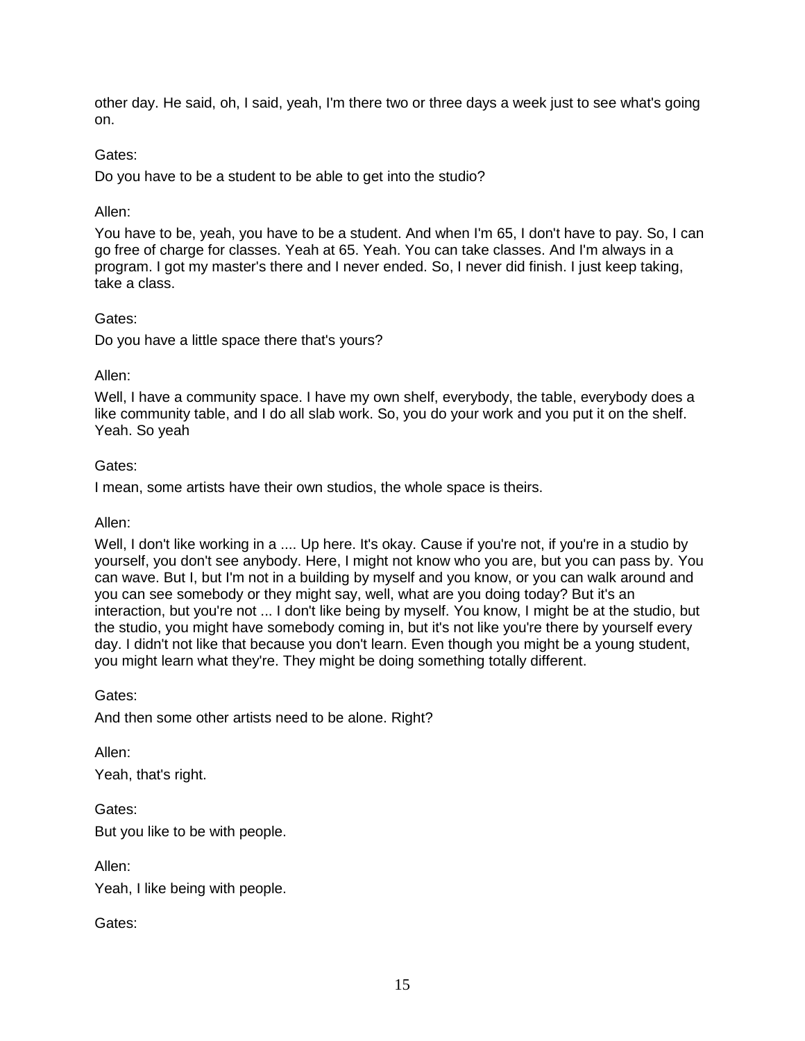other day. He said, oh, I said, yeah, I'm there two or three days a week just to see what's going on.

### Gates:

Do you have to be a student to be able to get into the studio?

### Allen:

You have to be, yeah, you have to be a student. And when I'm 65, I don't have to pay. So, I can go free of charge for classes. Yeah at 65. Yeah. You can take classes. And I'm always in a program. I got my master's there and I never ended. So, I never did finish. I just keep taking, take a class.

### Gates:

Do you have a little space there that's yours?

### Allen:

Well, I have a community space. I have my own shelf, everybody, the table, everybody does a like community table, and I do all slab work. So, you do your work and you put it on the shelf. Yeah. So yeah

### Gates:

I mean, some artists have their own studios, the whole space is theirs.

### Allen:

Well, I don't like working in a .... Up here. It's okay. Cause if you're not, if you're in a studio by yourself, you don't see anybody. Here, I might not know who you are, but you can pass by. You can wave. But I, but I'm not in a building by myself and you know, or you can walk around and you can see somebody or they might say, well, what are you doing today? But it's an interaction, but you're not ... I don't like being by myself. You know, I might be at the studio, but the studio, you might have somebody coming in, but it's not like you're there by yourself every day. I didn't not like that because you don't learn. Even though you might be a young student, you might learn what they're. They might be doing something totally different.

Gates:

And then some other artists need to be alone. Right?

Allen:

Yeah, that's right.

Gates: But you like to be with people.

Allen:

Yeah, I like being with people.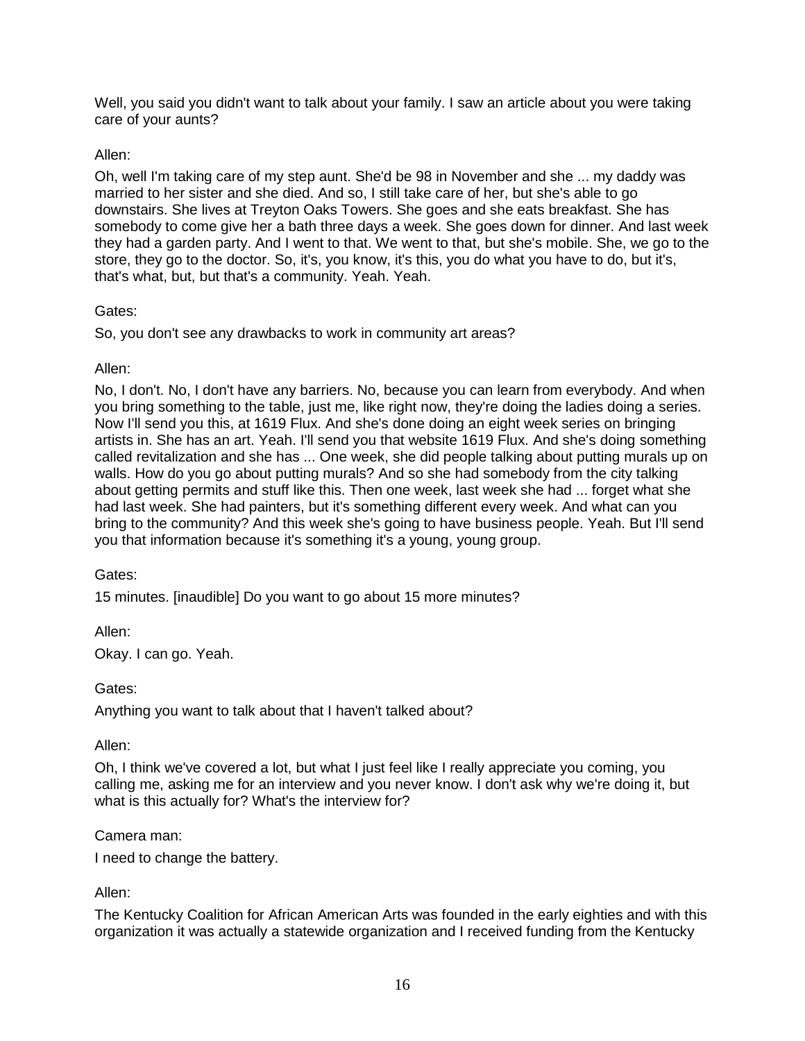Well, you said you didn't want to talk about your family. I saw an article about you were taking care of your aunts?

# Allen:

Oh, well I'm taking care of my step aunt. She'd be 98 in November and she ... my daddy was married to her sister and she died. And so, I still take care of her, but she's able to go downstairs. She lives at Treyton Oaks Towers. She goes and she eats breakfast. She has somebody to come give her a bath three days a week. She goes down for dinner. And last week they had a garden party. And I went to that. We went to that, but she's mobile. She, we go to the store, they go to the doctor. So, it's, you know, it's this, you do what you have to do, but it's, that's what, but, but that's a community. Yeah. Yeah.

# Gates:

So, you don't see any drawbacks to work in community art areas?

# Allen:

No, I don't. No, I don't have any barriers. No, because you can learn from everybody. And when you bring something to the table, just me, like right now, they're doing the ladies doing a series. Now I'll send you this, at 1619 Flux. And she's done doing an eight week series on bringing artists in. She has an art. Yeah. I'll send you that website 1619 Flux. And she's doing something called revitalization and she has ... One week, she did people talking about putting murals up on walls. How do you go about putting murals? And so she had somebody from the city talking about getting permits and stuff like this. Then one week, last week she had ... forget what she had last week. She had painters, but it's something different every week. And what can you bring to the community? And this week she's going to have business people. Yeah. But I'll send you that information because it's something it's a young, young group.

# Gates:

15 minutes. [inaudible] Do you want to go about 15 more minutes?

Allen: Okay. I can go. Yeah.

# Gates:

Anything you want to talk about that I haven't talked about?

### Allen:

Oh, I think we've covered a lot, but what I just feel like I really appreciate you coming, you calling me, asking me for an interview and you never know. I don't ask why we're doing it, but what is this actually for? What's the interview for?

### Camera man:

I need to change the battery.

# Allen:

The Kentucky Coalition for African American Arts was founded in the early eighties and with this organization it was actually a statewide organization and I received funding from the Kentucky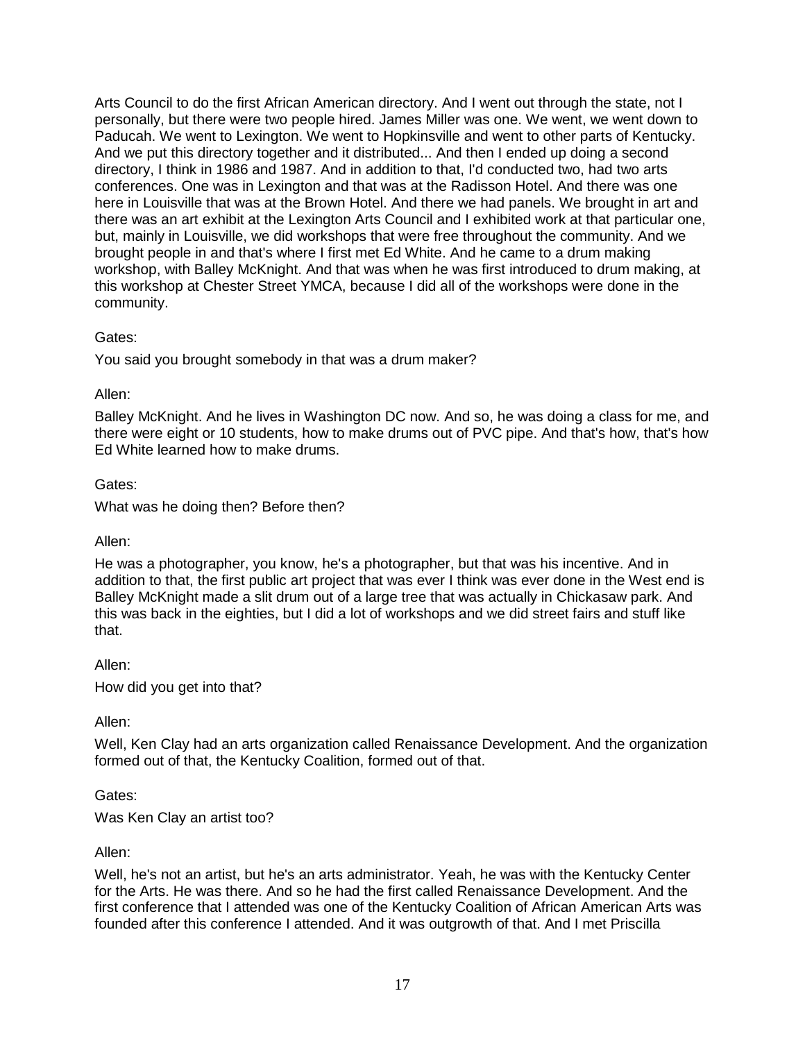Arts Council to do the first African American directory. And I went out through the state, not I personally, but there were two people hired. James Miller was one. We went, we went down to Paducah. We went to Lexington. We went to Hopkinsville and went to other parts of Kentucky. And we put this directory together and it distributed... And then I ended up doing a second directory, I think in 1986 and 1987. And in addition to that, I'd conducted two, had two arts conferences. One was in Lexington and that was at the Radisson Hotel. And there was one here in Louisville that was at the Brown Hotel. And there we had panels. We brought in art and there was an art exhibit at the Lexington Arts Council and I exhibited work at that particular one, but, mainly in Louisville, we did workshops that were free throughout the community. And we brought people in and that's where I first met Ed White. And he came to a drum making workshop, with Balley McKnight. And that was when he was first introduced to drum making, at this workshop at Chester Street YMCA, because I did all of the workshops were done in the community.

### Gates:

You said you brought somebody in that was a drum maker?

#### Allen:

Balley McKnight. And he lives in Washington DC now. And so, he was doing a class for me, and there were eight or 10 students, how to make drums out of PVC pipe. And that's how, that's how Ed White learned how to make drums.

#### Gates:

What was he doing then? Before then?

### Allen:

He was a photographer, you know, he's a photographer, but that was his incentive. And in addition to that, the first public art project that was ever I think was ever done in the West end is Balley McKnight made a slit drum out of a large tree that was actually in Chickasaw park. And this was back in the eighties, but I did a lot of workshops and we did street fairs and stuff like that.

#### Allen:

How did you get into that?

### Allen:

Well, Ken Clay had an arts organization called Renaissance Development. And the organization formed out of that, the Kentucky Coalition, formed out of that.

### Gates:

Was Ken Clay an artist too?

#### Allen:

Well, he's not an artist, but he's an arts administrator. Yeah, he was with the Kentucky Center for the Arts. He was there. And so he had the first called Renaissance Development. And the first conference that I attended was one of the Kentucky Coalition of African American Arts was founded after this conference I attended. And it was outgrowth of that. And I met Priscilla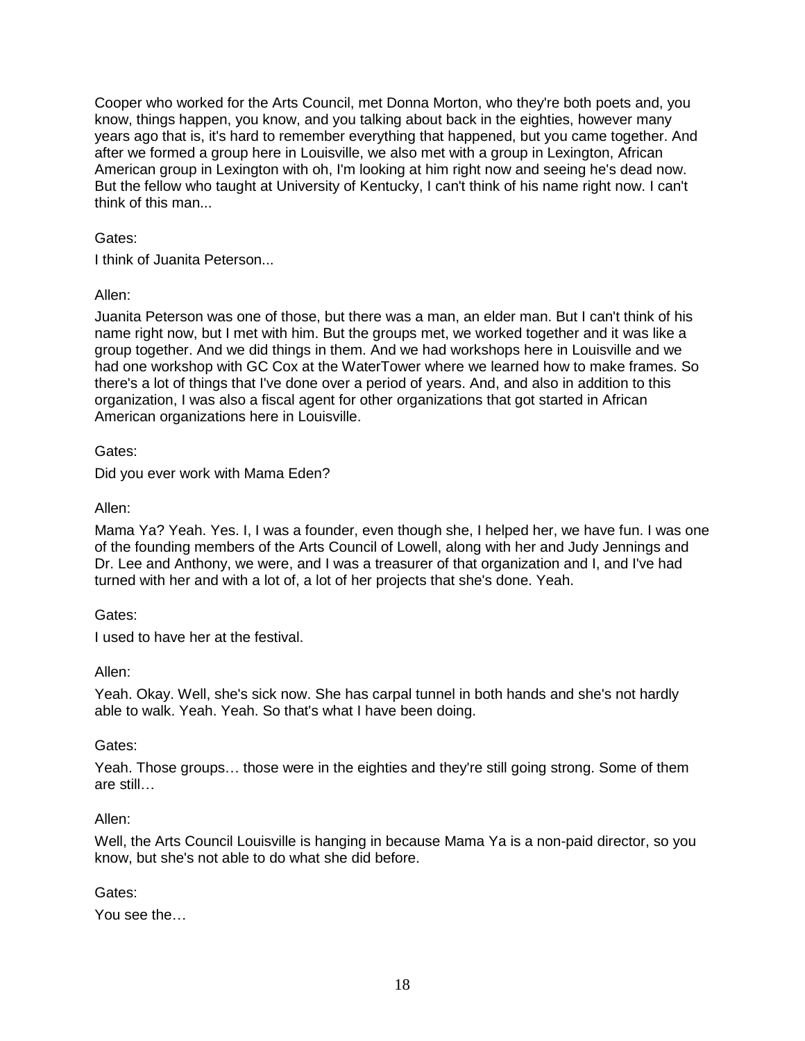Cooper who worked for the Arts Council, met Donna Morton, who they're both poets and, you know, things happen, you know, and you talking about back in the eighties, however many years ago that is, it's hard to remember everything that happened, but you came together. And after we formed a group here in Louisville, we also met with a group in Lexington, African American group in Lexington with oh, I'm looking at him right now and seeing he's dead now. But the fellow who taught at University of Kentucky, I can't think of his name right now. I can't think of this man...

# Gates:

I think of Juanita Peterson...

# Allen:

Juanita Peterson was one of those, but there was a man, an elder man. But I can't think of his name right now, but I met with him. But the groups met, we worked together and it was like a group together. And we did things in them. And we had workshops here in Louisville and we had one workshop with GC Cox at the WaterTower where we learned how to make frames. So there's a lot of things that I've done over a period of years. And, and also in addition to this organization, I was also a fiscal agent for other organizations that got started in African American organizations here in Louisville.

Gates:

Did you ever work with Mama Eden?

Allen:

Mama Ya? Yeah. Yes. I, I was a founder, even though she, I helped her, we have fun. I was one of the founding members of the Arts Council of Lowell, along with her and Judy Jennings and Dr. Lee and Anthony, we were, and I was a treasurer of that organization and I, and I've had turned with her and with a lot of, a lot of her projects that she's done. Yeah.

### Gates:

I used to have her at the festival.

### Allen:

Yeah. Okay. Well, she's sick now. She has carpal tunnel in both hands and she's not hardly able to walk. Yeah. Yeah. So that's what I have been doing.

### Gates:

Yeah. Those groups… those were in the eighties and they're still going strong. Some of them are still…

### Allen:

Well, the Arts Council Louisville is hanging in because Mama Ya is a non-paid director, so you know, but she's not able to do what she did before.

### Gates:

You see the…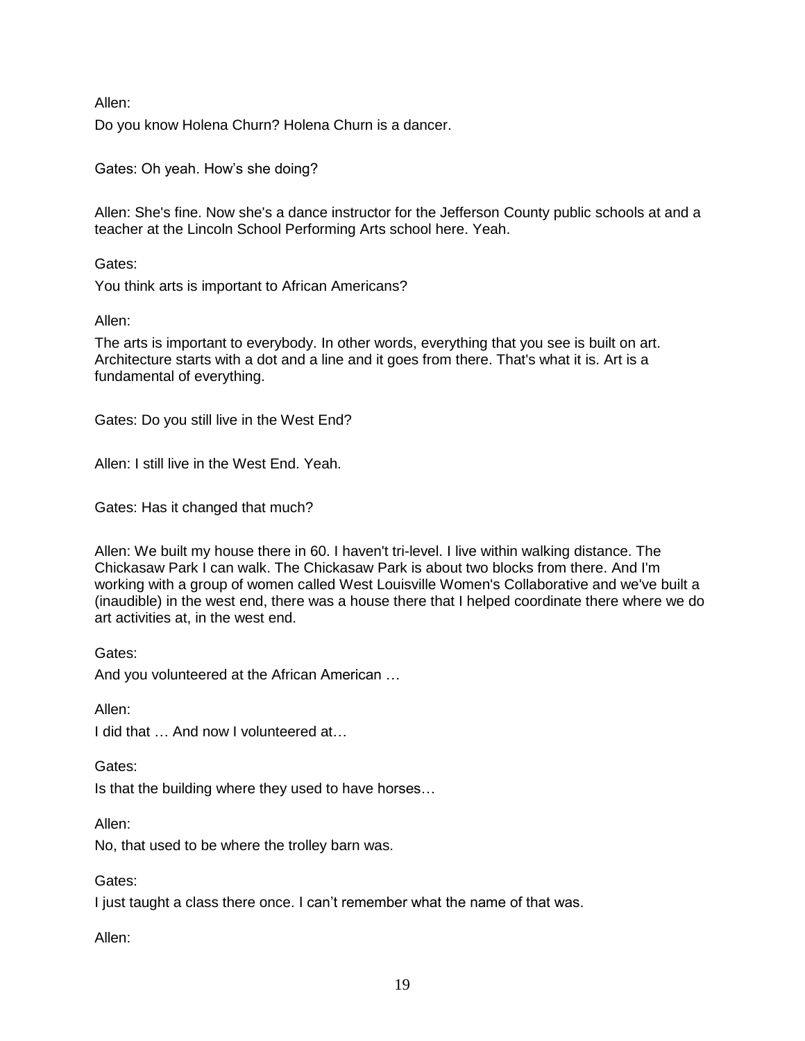Do you know Holena Churn? Holena Churn is a dancer.

Gates: Oh yeah. How's she doing?

Allen: She's fine. Now she's a dance instructor for the Jefferson County public schools at and a teacher at the Lincoln School Performing Arts school here. Yeah.

Gates:

You think arts is important to African Americans?

Allen:

The arts is important to everybody. In other words, everything that you see is built on art. Architecture starts with a dot and a line and it goes from there. That's what it is. Art is a fundamental of everything.

Gates: Do you still live in the West End?

Allen: I still live in the West End. Yeah.

Gates: Has it changed that much?

Allen: We built my house there in 60. I haven't tri-level. I live within walking distance. The Chickasaw Park I can walk. The Chickasaw Park is about two blocks from there. And I'm working with a group of women called West Louisville Women's Collaborative and we've built a (inaudible) in the west end, there was a house there that I helped coordinate there where we do art activities at, in the west end.

Gates:

And you volunteered at the African American …

Allen:

I did that … And now I volunteered at…

Gates:

Is that the building where they used to have horses…

Allen:

No, that used to be where the trolley barn was.

Gates:

I just taught a class there once. I can't remember what the name of that was.

Allen: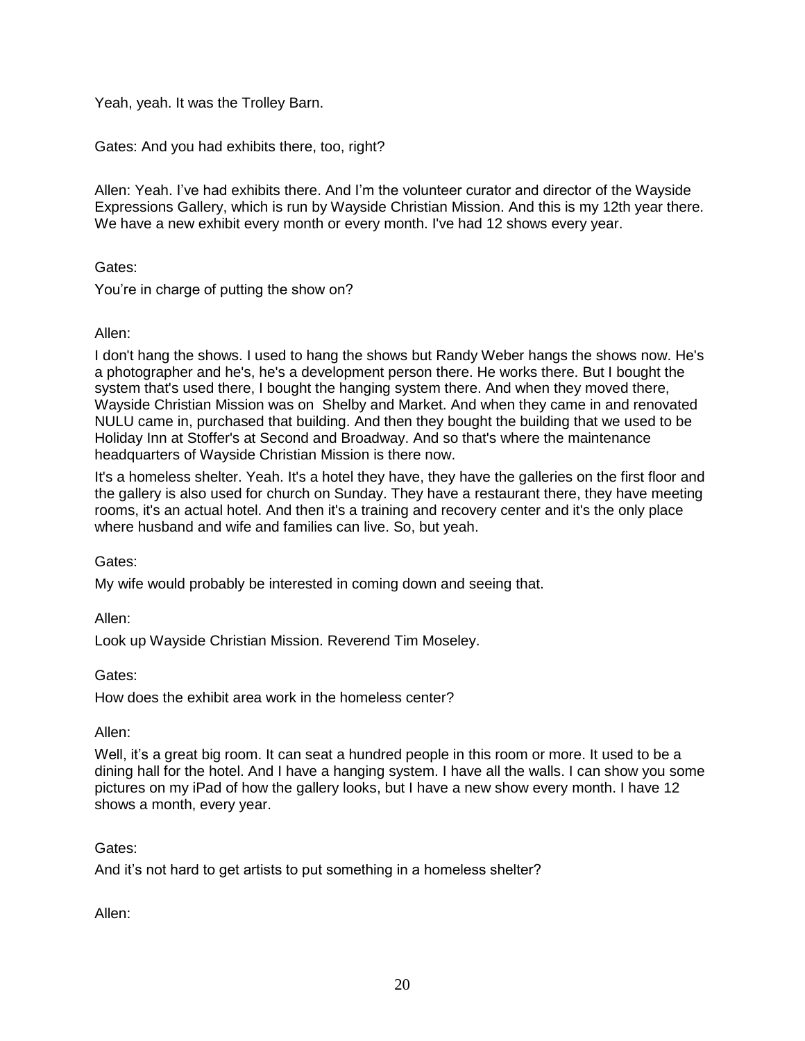Yeah, yeah. It was the Trolley Barn.

Gates: And you had exhibits there, too, right?

Allen: Yeah. I've had exhibits there. And I'm the volunteer curator and director of the Wayside Expressions Gallery, which is run by Wayside Christian Mission. And this is my 12th year there. We have a new exhibit every month or every month. I've had 12 shows every year.

Gates:

You're in charge of putting the show on?

### Allen:

I don't hang the shows. I used to hang the shows but Randy Weber hangs the shows now. He's a photographer and he's, he's a development person there. He works there. But I bought the system that's used there, I bought the hanging system there. And when they moved there, Wayside Christian Mission was on Shelby and Market. And when they came in and renovated NULU came in, purchased that building. And then they bought the building that we used to be Holiday Inn at Stoffer's at Second and Broadway. And so that's where the maintenance headquarters of Wayside Christian Mission is there now.

It's a homeless shelter. Yeah. It's a hotel they have, they have the galleries on the first floor and the gallery is also used for church on Sunday. They have a restaurant there, they have meeting rooms, it's an actual hotel. And then it's a training and recovery center and it's the only place where husband and wife and families can live. So, but yeah.

Gates:

My wife would probably be interested in coming down and seeing that.

Allen:

Look up Wayside Christian Mission. Reverend Tim Moseley.

Gates:

How does the exhibit area work in the homeless center?

Allen:

Well, it's a great big room. It can seat a hundred people in this room or more. It used to be a dining hall for the hotel. And I have a hanging system. I have all the walls. I can show you some pictures on my iPad of how the gallery looks, but I have a new show every month. I have 12 shows a month, every year.

# Gates:

And it's not hard to get artists to put something in a homeless shelter?

Allen: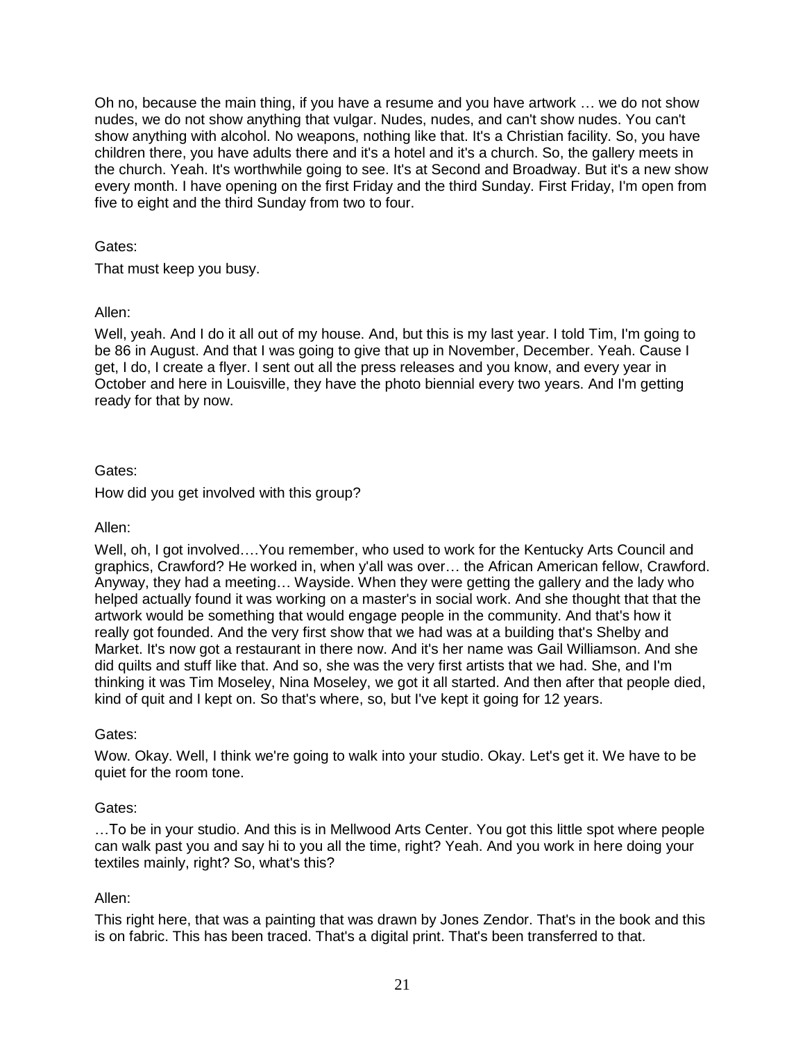Oh no, because the main thing, if you have a resume and you have artwork … we do not show nudes, we do not show anything that vulgar. Nudes, nudes, and can't show nudes. You can't show anything with alcohol. No weapons, nothing like that. It's a Christian facility. So, you have children there, you have adults there and it's a hotel and it's a church. So, the gallery meets in the church. Yeah. It's worthwhile going to see. It's at Second and Broadway. But it's a new show every month. I have opening on the first Friday and the third Sunday. First Friday, I'm open from five to eight and the third Sunday from two to four.

Gates:

That must keep you busy.

Allen:

Well, yeah. And I do it all out of my house. And, but this is my last year. I told Tim, I'm going to be 86 in August. And that I was going to give that up in November, December. Yeah. Cause I get, I do, I create a flyer. I sent out all the press releases and you know, and every year in October and here in Louisville, they have the photo biennial every two years. And I'm getting ready for that by now.

# Gates:

How did you get involved with this group?

Allen:

Well, oh, I got involved….You remember, who used to work for the Kentucky Arts Council and graphics, Crawford? He worked in, when y'all was over… the African American fellow, Crawford. Anyway, they had a meeting… Wayside. When they were getting the gallery and the lady who helped actually found it was working on a master's in social work. And she thought that that the artwork would be something that would engage people in the community. And that's how it really got founded. And the very first show that we had was at a building that's Shelby and Market. It's now got a restaurant in there now. And it's her name was Gail Williamson. And she did quilts and stuff like that. And so, she was the very first artists that we had. She, and I'm thinking it was Tim Moseley, Nina Moseley, we got it all started. And then after that people died, kind of quit and I kept on. So that's where, so, but I've kept it going for 12 years.

### Gates:

Wow. Okay. Well, I think we're going to walk into your studio. Okay. Let's get it. We have to be quiet for the room tone.

### Gates:

…To be in your studio. And this is in Mellwood Arts Center. You got this little spot where people can walk past you and say hi to you all the time, right? Yeah. And you work in here doing your textiles mainly, right? So, what's this?

### Allen:

This right here, that was a painting that was drawn by Jones Zendor. That's in the book and this is on fabric. This has been traced. That's a digital print. That's been transferred to that.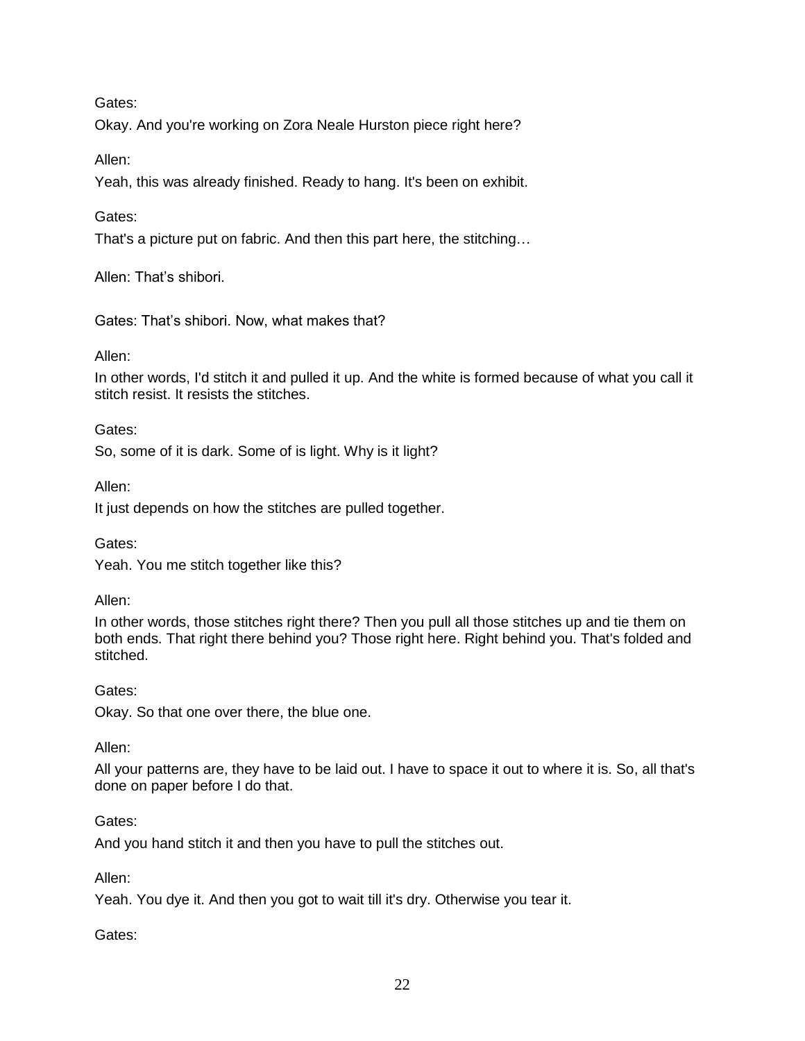Gates:

Okay. And you're working on Zora Neale Hurston piece right here?

Allen:

Yeah, this was already finished. Ready to hang. It's been on exhibit.

Gates:

That's a picture put on fabric. And then this part here, the stitching…

Allen: That's shibori.

Gates: That's shibori. Now, what makes that?

Allen:

In other words, I'd stitch it and pulled it up. And the white is formed because of what you call it stitch resist. It resists the stitches.

Gates:

So, some of it is dark. Some of is light. Why is it light?

Allen:

It just depends on how the stitches are pulled together.

Gates:

Yeah. You me stitch together like this?

Allen:

In other words, those stitches right there? Then you pull all those stitches up and tie them on both ends. That right there behind you? Those right here. Right behind you. That's folded and stitched.

Gates:

Okay. So that one over there, the blue one.

Allen:

All your patterns are, they have to be laid out. I have to space it out to where it is. So, all that's done on paper before I do that.

### Gates:

And you hand stitch it and then you have to pull the stitches out.

Allen:

Yeah. You dye it. And then you got to wait till it's dry. Otherwise you tear it.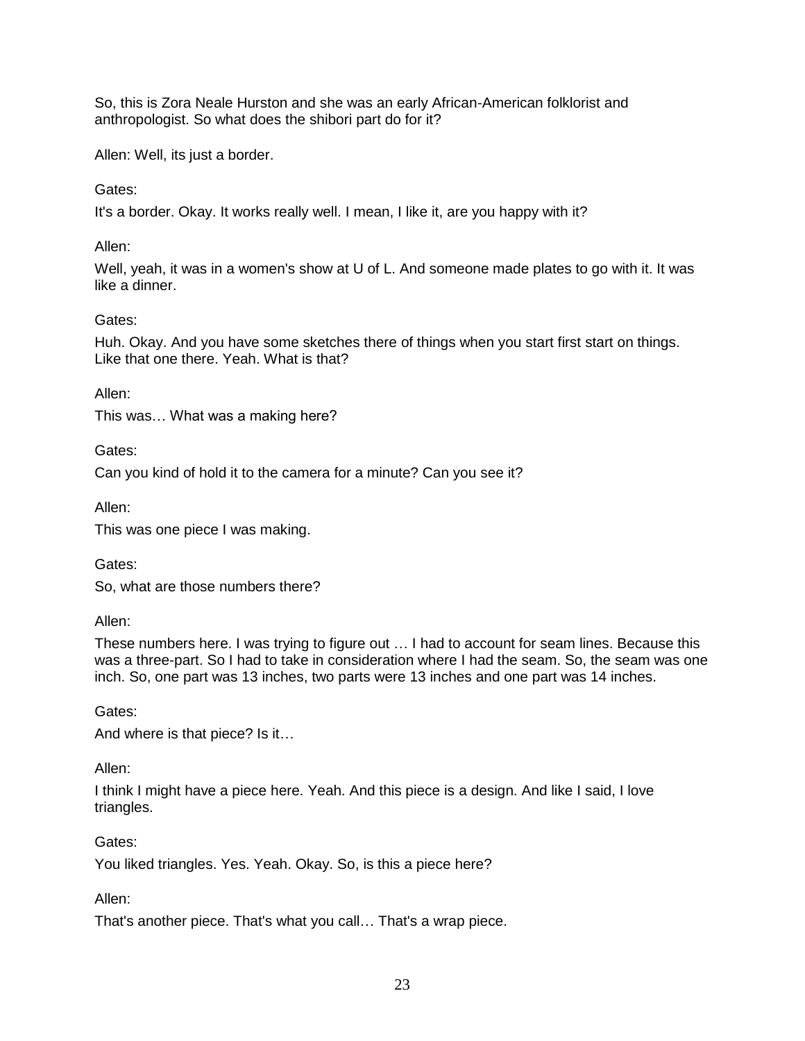So, this is Zora Neale Hurston and she was an early African-American folklorist and anthropologist. So what does the shibori part do for it?

Allen: Well, its just a border.

### Gates:

It's a border. Okay. It works really well. I mean, I like it, are you happy with it?

#### Allen:

Well, yeah, it was in a women's show at U of L. And someone made plates to go with it. It was like a dinner.

#### Gates:

Huh. Okay. And you have some sketches there of things when you start first start on things. Like that one there. Yeah. What is that?

Allen:

This was… What was a making here?

Gates:

Can you kind of hold it to the camera for a minute? Can you see it?

Allen:

This was one piece I was making.

Gates:

So, what are those numbers there?

Allen:

These numbers here. I was trying to figure out … I had to account for seam lines. Because this was a three-part. So I had to take in consideration where I had the seam. So, the seam was one inch. So, one part was 13 inches, two parts were 13 inches and one part was 14 inches.

Gates:

And where is that piece? Is it…

Allen:

I think I might have a piece here. Yeah. And this piece is a design. And like I said, I love triangles.

### Gates:

You liked triangles. Yes. Yeah. Okay. So, is this a piece here?

Allen:

That's another piece. That's what you call… That's a wrap piece.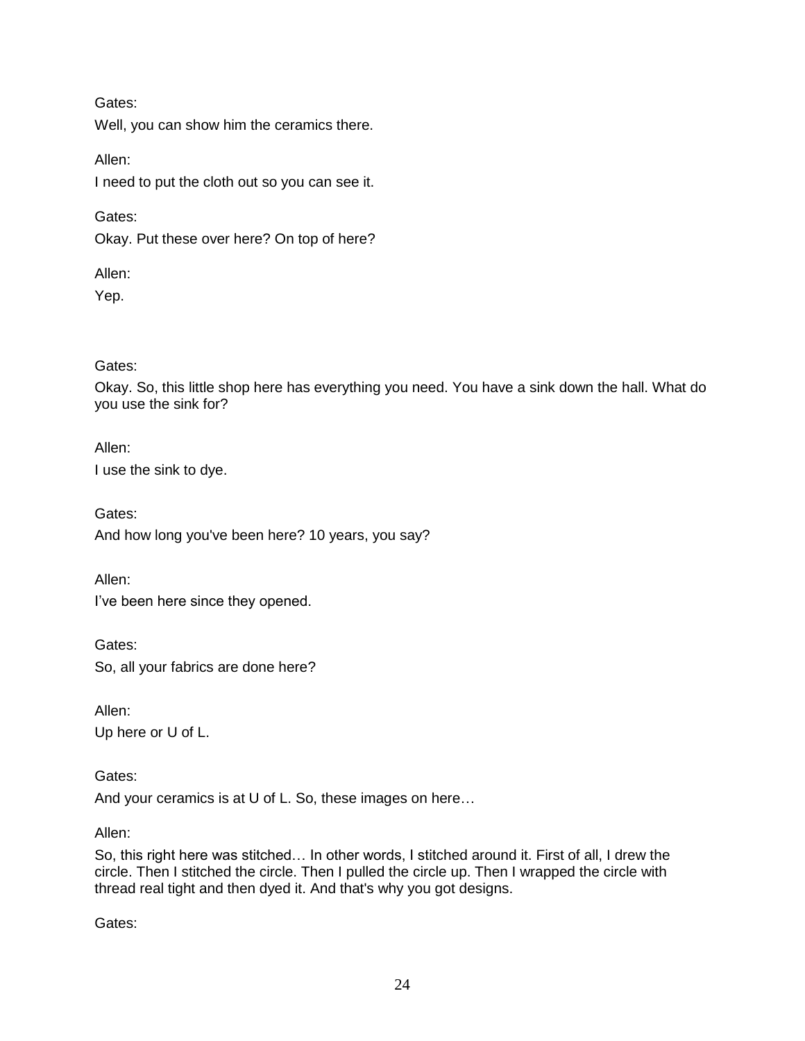Gates:

Well, you can show him the ceramics there.

Allen:

I need to put the cloth out so you can see it.

Gates:

Okay. Put these over here? On top of here?

Allen:

Yep.

Gates:

Okay. So, this little shop here has everything you need. You have a sink down the hall. What do you use the sink for?

Allen: I use the sink to dye.

Gates: And how long you've been here? 10 years, you say?

Allen:

I've been here since they opened.

Gates: So, all your fabrics are done here?

Allen: Up here or U of L.

Gates:

And your ceramics is at U of L. So, these images on here…

Allen:

So, this right here was stitched… In other words, I stitched around it. First of all, I drew the circle. Then I stitched the circle. Then I pulled the circle up. Then I wrapped the circle with thread real tight and then dyed it. And that's why you got designs.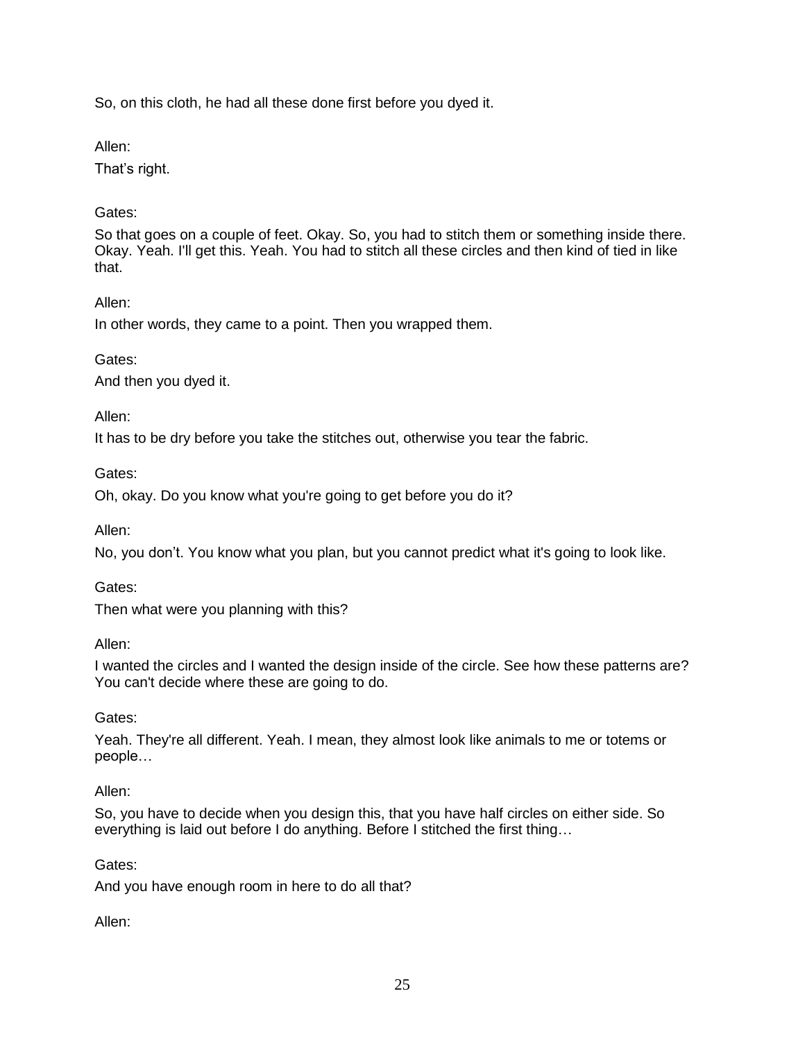So, on this cloth, he had all these done first before you dyed it.

Allen:

That's right.

# Gates:

So that goes on a couple of feet. Okay. So, you had to stitch them or something inside there. Okay. Yeah. I'll get this. Yeah. You had to stitch all these circles and then kind of tied in like that.

# Allen:

In other words, they came to a point. Then you wrapped them.

# Gates:

And then you dyed it.

# Allen:

It has to be dry before you take the stitches out, otherwise you tear the fabric.

# Gates:

Oh, okay. Do you know what you're going to get before you do it?

Allen:

No, you don't. You know what you plan, but you cannot predict what it's going to look like.

### Gates:

Then what were you planning with this?

### Allen:

I wanted the circles and I wanted the design inside of the circle. See how these patterns are? You can't decide where these are going to do.

# Gates:

Yeah. They're all different. Yeah. I mean, they almost look like animals to me or totems or people…

# Allen:

So, you have to decide when you design this, that you have half circles on either side. So everything is laid out before I do anything. Before I stitched the first thing…

### Gates:

And you have enough room in here to do all that?

Allen: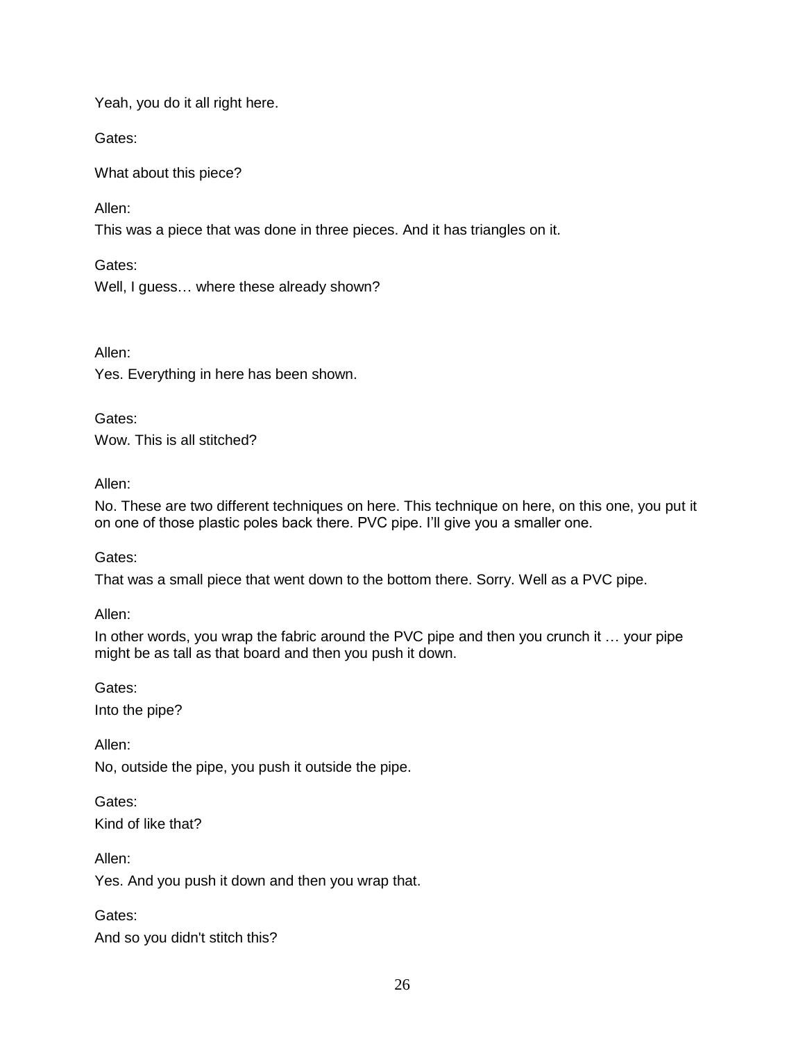Yeah, you do it all right here.

Gates:

What about this piece?

Allen:

This was a piece that was done in three pieces. And it has triangles on it.

Gates:

Well, I guess… where these already shown?

Allen:

Yes. Everything in here has been shown.

Gates: Wow. This is all stitched?

Allen:

No. These are two different techniques on here. This technique on here, on this one, you put it on one of those plastic poles back there. PVC pipe. I'll give you a smaller one.

Gates:

That was a small piece that went down to the bottom there. Sorry. Well as a PVC pipe.

Allen:

In other words, you wrap the fabric around the PVC pipe and then you crunch it … your pipe might be as tall as that board and then you push it down.

Gates: Into the pipe?

Allen: No, outside the pipe, you push it outside the pipe.

Gates: Kind of like that?

Allen: Yes. And you push it down and then you wrap that.

Gates: And so you didn't stitch this?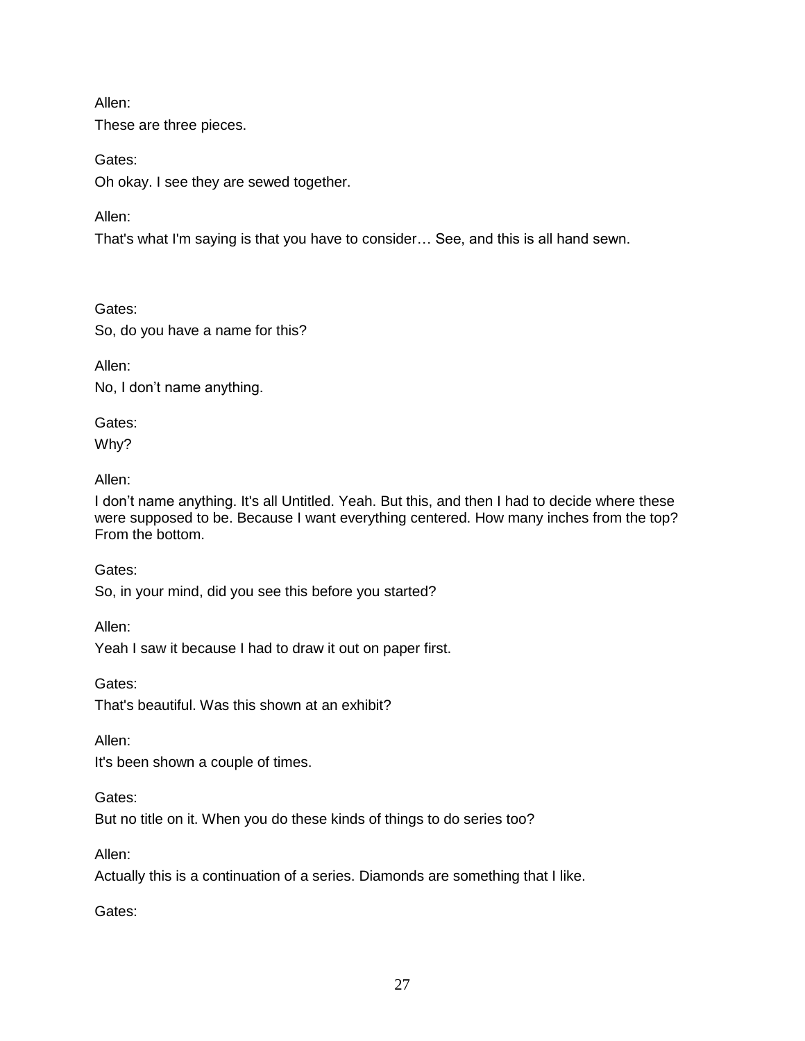These are three pieces.

Gates:

Oh okay. I see they are sewed together.

Allen:

That's what I'm saying is that you have to consider… See, and this is all hand sewn.

Gates:

So, do you have a name for this?

Allen:

No, I don't name anything.

Gates:

Why?

Allen:

I don't name anything. It's all Untitled. Yeah. But this, and then I had to decide where these were supposed to be. Because I want everything centered. How many inches from the top? From the bottom.

Gates:

So, in your mind, did you see this before you started?

Allen:

Yeah I saw it because I had to draw it out on paper first.

Gates: That's beautiful. Was this shown at an exhibit?

Allen:

It's been shown a couple of times.

Gates:

But no title on it. When you do these kinds of things to do series too?

Allen:

Actually this is a continuation of a series. Diamonds are something that I like.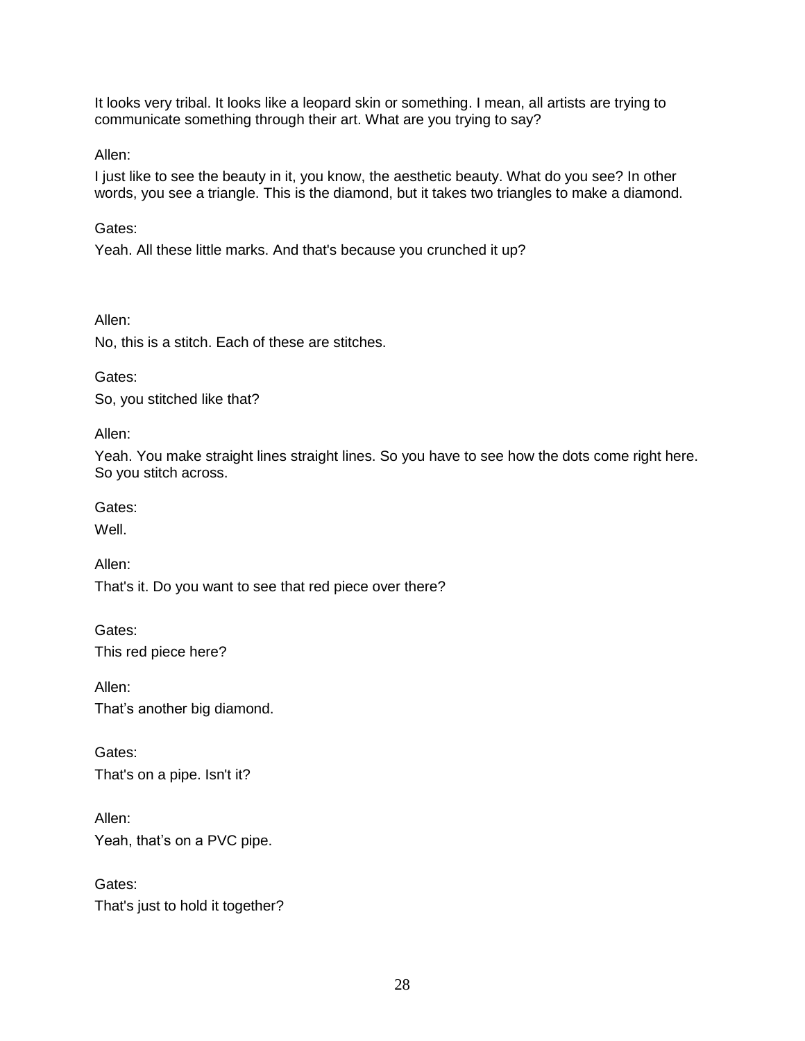It looks very tribal. It looks like a leopard skin or something. I mean, all artists are trying to communicate something through their art. What are you trying to say?

Allen:

I just like to see the beauty in it, you know, the aesthetic beauty. What do you see? In other words, you see a triangle. This is the diamond, but it takes two triangles to make a diamond.

Gates:

Yeah. All these little marks. And that's because you crunched it up?

Allen:

No, this is a stitch. Each of these are stitches.

Gates:

So, you stitched like that?

Allen:

Yeah. You make straight lines straight lines. So you have to see how the dots come right here. So you stitch across.

Gates:

Well.

Allen:

That's it. Do you want to see that red piece over there?

Gates: This red piece here?

Allen: That's another big diamond.

Gates: That's on a pipe. Isn't it?

Allen: Yeah, that's on a PVC pipe.

Gates: That's just to hold it together?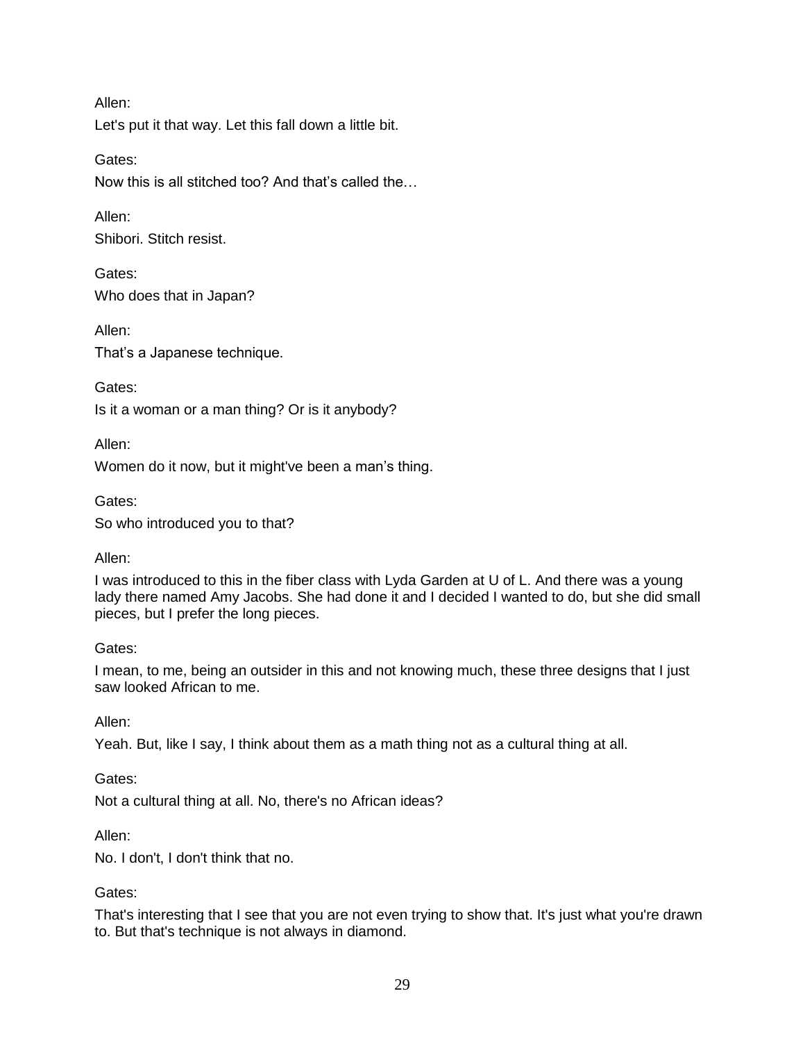Let's put it that way. Let this fall down a little bit.

Gates:

Now this is all stitched too? And that's called the…

Allen: Shibori. Stitch resist.

Gates: Who does that in Japan?

Allen: That's a Japanese technique.

Gates:

Is it a woman or a man thing? Or is it anybody?

Allen:

Women do it now, but it might've been a man's thing.

Gates: So who introduced you to that?

### Allen:

I was introduced to this in the fiber class with Lyda Garden at U of L. And there was a young lady there named Amy Jacobs. She had done it and I decided I wanted to do, but she did small pieces, but I prefer the long pieces.

### Gates:

I mean, to me, being an outsider in this and not knowing much, these three designs that I just saw looked African to me.

Allen:

Yeah. But, like I say, I think about them as a math thing not as a cultural thing at all.

Gates:

Not a cultural thing at all. No, there's no African ideas?

Allen:

No. I don't, I don't think that no.

### Gates:

That's interesting that I see that you are not even trying to show that. It's just what you're drawn to. But that's technique is not always in diamond.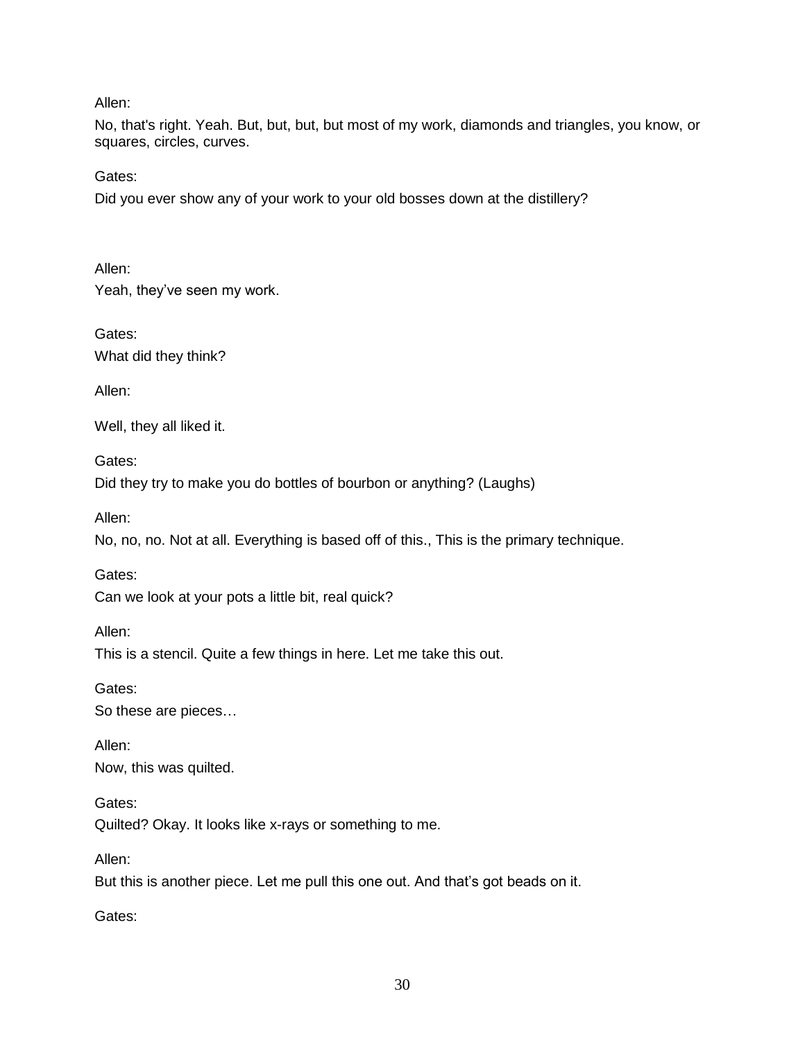No, that's right. Yeah. But, but, but, but most of my work, diamonds and triangles, you know, or squares, circles, curves.

Gates:

Did you ever show any of your work to your old bosses down at the distillery?

Allen:

Yeah, they've seen my work.

Gates: What did they think?

Allen:

Well, they all liked it.

Gates: Did they try to make you do bottles of bourbon or anything? (Laughs)

Allen:

No, no, no. Not at all. Everything is based off of this., This is the primary technique.

Gates:

Can we look at your pots a little bit, real quick?

Allen:

This is a stencil. Quite a few things in here. Let me take this out.

Gates: So these are pieces…

Allen: Now, this was quilted.

Gates:

Quilted? Okay. It looks like x-rays or something to me.

Allen:

But this is another piece. Let me pull this one out. And that's got beads on it.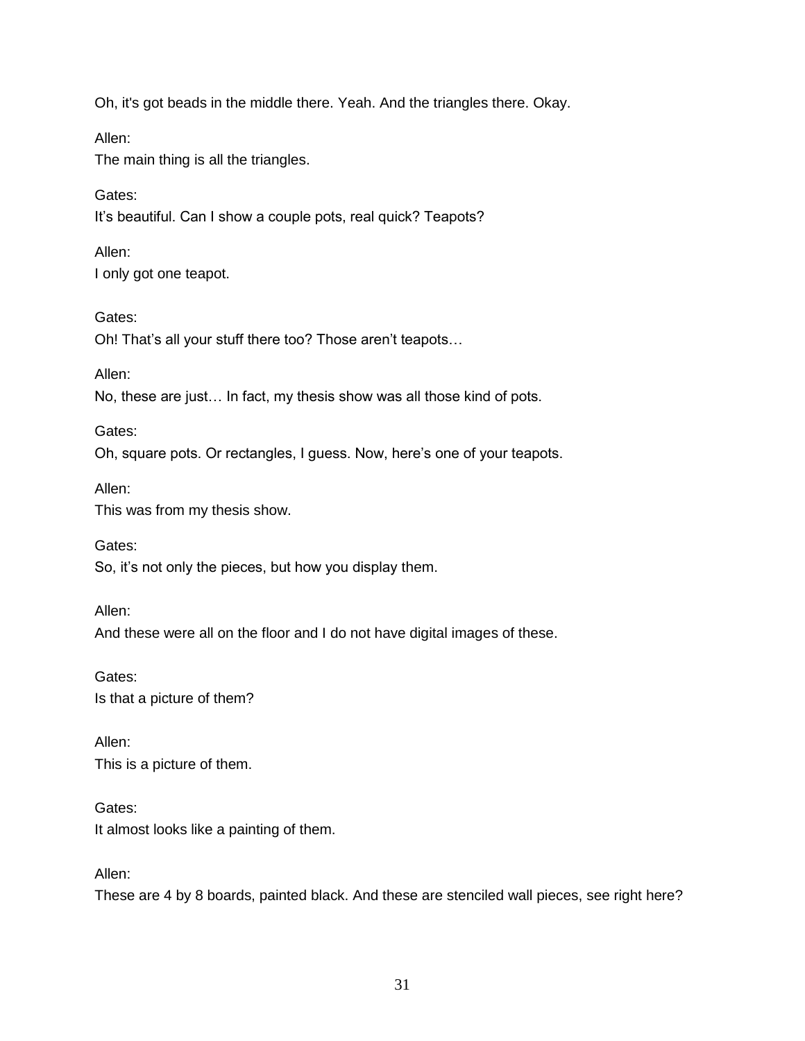Oh, it's got beads in the middle there. Yeah. And the triangles there. Okay.

Allen:

The main thing is all the triangles.

Gates: It's beautiful. Can I show a couple pots, real quick? Teapots?

Allen: I only got one teapot.

Gates:

Oh! That's all your stuff there too? Those aren't teapots…

Allen:

No, these are just… In fact, my thesis show was all those kind of pots.

Gates:

Oh, square pots. Or rectangles, I guess. Now, here's one of your teapots.

Allen:

This was from my thesis show.

Gates: So, it's not only the pieces, but how you display them.

Allen: And these were all on the floor and I do not have digital images of these.

Gates: Is that a picture of them?

Allen: This is a picture of them.

Gates: It almost looks like a painting of them.

Allen:

These are 4 by 8 boards, painted black. And these are stenciled wall pieces, see right here?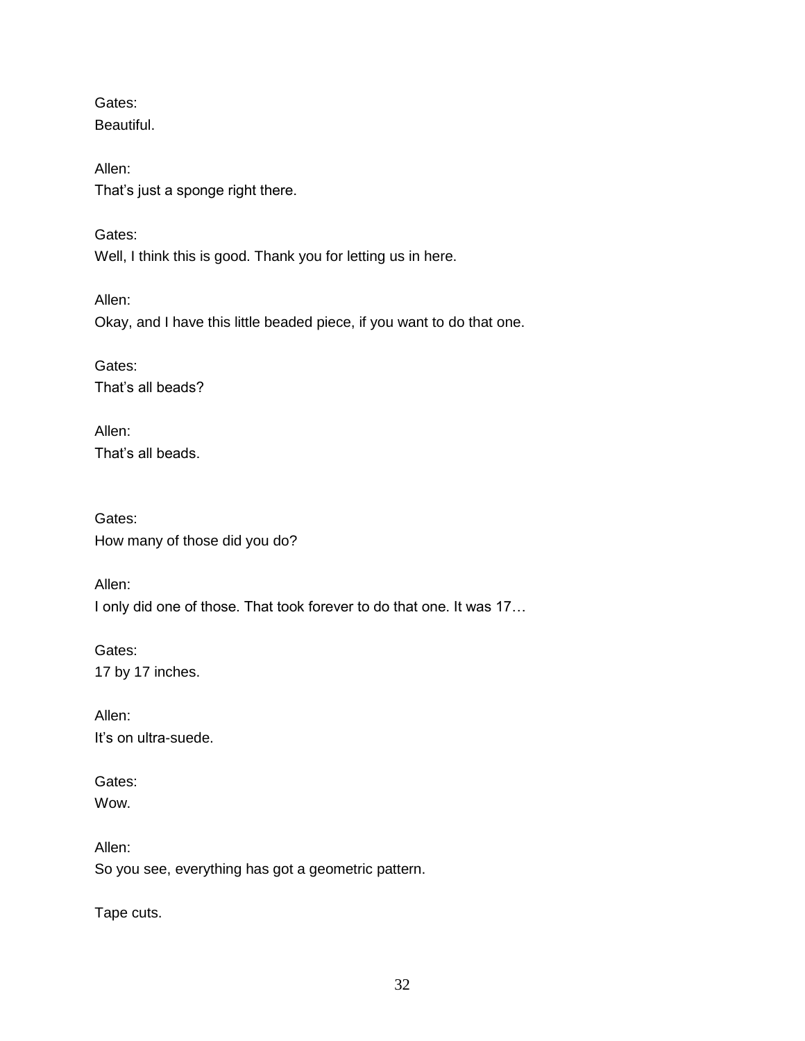Gates: Beautiful.

Allen: That's just a sponge right there.

Gates: Well, I think this is good. Thank you for letting us in here.

Allen: Okay, and I have this little beaded piece, if you want to do that one.

Gates: That's all beads?

Allen: That's all beads.

Gates: How many of those did you do?

Allen: I only did one of those. That took forever to do that one. It was 17…

Gates: 17 by 17 inches.

Allen: It's on ultra-suede.

Gates: Wow.

Allen: So you see, everything has got a geometric pattern.

Tape cuts.